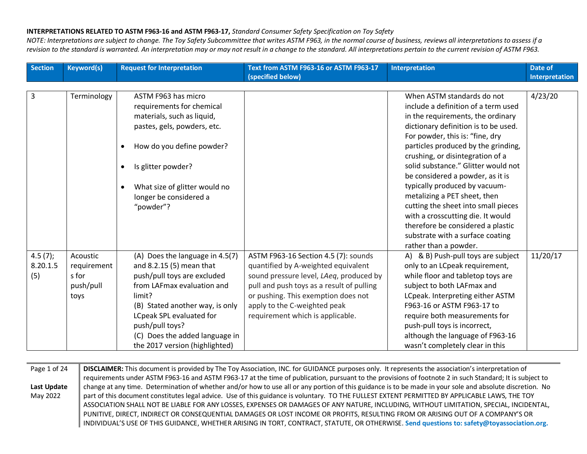*NOTE: Interpretations are subject to change. The Toy Safety Subcommittee that writes ASTM F963, in the normal course of business, reviews all interpretations to assess if a revision to the standard is warranted. An interpretation may or may not result in a change to the standard. All interpretations pertain to the current revision of ASTM F963.*

| <b>Section</b>      | <b>Keyword(s)</b>          | <b>Request for Interpretation</b>                                                 | Text from ASTM F963-16 or ASTM F963-17<br>(specified below)                                                                 | <b>Interpretation</b>                                                                                      | Date of<br>Interpretation |
|---------------------|----------------------------|-----------------------------------------------------------------------------------|-----------------------------------------------------------------------------------------------------------------------------|------------------------------------------------------------------------------------------------------------|---------------------------|
| 3                   | Terminology                | ASTM F963 has micro<br>requirements for chemical                                  |                                                                                                                             | When ASTM standards do not<br>include a definition of a term used                                          | 4/23/20                   |
|                     |                            | materials, such as liquid,<br>pastes, gels, powders, etc.                         |                                                                                                                             | in the requirements, the ordinary<br>dictionary definition is to be used.                                  |                           |
|                     |                            | How do you define powder?                                                         |                                                                                                                             | For powder, this is: "fine, dry<br>particles produced by the grinding,<br>crushing, or disintegration of a |                           |
|                     |                            | Is glitter powder?<br>$\bullet$                                                   |                                                                                                                             | solid substance." Glitter would not<br>be considered a powder, as it is                                    |                           |
|                     |                            | What size of glitter would no<br>$\bullet$<br>longer be considered a<br>"powder"? |                                                                                                                             | typically produced by vacuum-<br>metalizing a PET sheet, then<br>cutting the sheet into small pieces       |                           |
|                     |                            |                                                                                   |                                                                                                                             | with a crosscutting die. It would<br>therefore be considered a plastic                                     |                           |
|                     |                            |                                                                                   |                                                                                                                             | substrate with a surface coating<br>rather than a powder.                                                  |                           |
| 4.5(7);<br>8.20.1.5 | Acoustic<br>requirement    | (A) Does the language in 4.5(7)<br>and 8.2.15 (5) mean that                       | ASTM F963-16 Section 4.5 (7): sounds<br>quantified by A-weighted equivalent                                                 | A) & B) Push-pull toys are subject<br>only to an LCpeak requirement,                                       | 11/20/17                  |
| (5)                 | s for<br>push/pull<br>toys | push/pull toys are excluded<br>from LAFmax evaluation and<br>limit?               | sound pressure level, LAeq, produced by<br>pull and push toys as a result of pulling<br>or pushing. This exemption does not | while floor and tabletop toys are<br>subject to both LAFmax and<br>LCpeak. Interpreting either ASTM        |                           |
|                     |                            | (B) Stated another way, is only<br>LCpeak SPL evaluated for                       | apply to the C-weighted peak<br>requirement which is applicable.                                                            | F963-16 or ASTM F963-17 to<br>require both measurements for                                                |                           |
|                     |                            | push/pull toys?<br>(C) Does the added language in                                 |                                                                                                                             | push-pull toys is incorrect,<br>although the language of F963-16                                           |                           |
|                     |                            | the 2017 version (highlighted)                                                    |                                                                                                                             | wasn't completely clear in this                                                                            |                           |

Page 1 of 24 **Last Update**  May 2022 **DISCLAIMER:** This document is provided by The Toy Association, INC. for GUIDANCE purposes only. It represents the association's interpretation of requirements under ASTM F963-16 and ASTM F963-17 at the time of publication, pursuant to the provisions of footnote 2 in such Standard; It is subject to change at any time. Determination of whether and/or how to use all or any portion of this guidance is to be made in your sole and absolute discretion. No part of this document constitutes legal advice. Use of this guidance is voluntary. TO THE FULLEST EXTENT PERMITTED BY APPLICABLE LAWS, THE TOY ASSOCIATION SHALL NOT BE LIABLE FOR ANY LOSSES, EXPENSES OR DAMAGES OF ANY NATURE, INCLUDING, WITHOUT LIMITATION, SPECIAL, INCIDENTAL, PUNITIVE, DIRECT, INDIRECT OR CONSEQUENTIAL DAMAGES OR LOST INCOME OR PROFITS, RESULTING FROM OR ARISING OUT OF A COMPANY'S OR INDIVIDUAL'S USE OF THIS GUIDANCE, WHETHER ARISING IN TORT, CONTRACT, STATUTE, OR OTHERWISE. **Send questions to: safety@toyassociation.org.**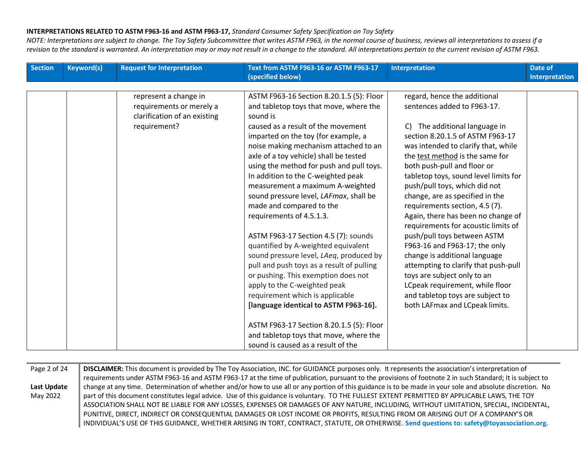and a

| <b>Section</b> | <b>Keyword(s)</b> | <b>Request for Interpretation</b> | Text from ASTM F963-16 or ASTM F963-17<br>(specified below) | <b>Interpretation</b>                 | Date of<br>Interpretation |
|----------------|-------------------|-----------------------------------|-------------------------------------------------------------|---------------------------------------|---------------------------|
|                |                   |                                   |                                                             |                                       |                           |
|                |                   | represent a change in             | ASTM F963-16 Section 8.20.1.5 (5): Floor                    | regard, hence the additional          |                           |
|                |                   | requirements or merely a          | and tabletop toys that move, where the                      | sentences added to F963-17.           |                           |
|                |                   | clarification of an existing      | sound is                                                    |                                       |                           |
|                |                   | requirement?                      | caused as a result of the movement                          | The additional language in<br>C)      |                           |
|                |                   |                                   | imparted on the toy (for example, a                         | section 8.20.1.5 of ASTM F963-17      |                           |
|                |                   |                                   | noise making mechanism attached to an                       | was intended to clarify that, while   |                           |
|                |                   |                                   | axle of a toy vehicle) shall be tested                      | the test method is the same for       |                           |
|                |                   |                                   | using the method for push and pull toys.                    | both push-pull and floor or           |                           |
|                |                   |                                   | In addition to the C-weighted peak                          | tabletop toys, sound level limits for |                           |
|                |                   |                                   | measurement a maximum A-weighted                            | push/pull toys, which did not         |                           |
|                |                   |                                   | sound pressure level, LAFmax, shall be                      | change, are as specified in the       |                           |
|                |                   |                                   | made and compared to the                                    | requirements section, 4.5 (7).        |                           |
|                |                   |                                   | requirements of 4.5.1.3.                                    | Again, there has been no change of    |                           |
|                |                   |                                   |                                                             | requirements for acoustic limits of   |                           |
|                |                   |                                   | ASTM F963-17 Section 4.5 (7): sounds                        | push/pull toys between ASTM           |                           |
|                |                   |                                   | quantified by A-weighted equivalent                         | F963-16 and F963-17; the only         |                           |
|                |                   |                                   | sound pressure level, LAeq, produced by                     | change is additional language         |                           |
|                |                   |                                   | pull and push toys as a result of pulling                   | attempting to clarify that push-pull  |                           |
|                |                   |                                   | or pushing. This exemption does not                         | toys are subject only to an           |                           |
|                |                   |                                   | apply to the C-weighted peak                                | LCpeak requirement, while floor       |                           |
|                |                   |                                   | requirement which is applicable                             | and tabletop toys are subject to      |                           |
|                |                   |                                   | [language identical to ASTM F963-16].                       | both LAFmax and LCpeak limits.        |                           |
|                |                   |                                   |                                                             |                                       |                           |
|                |                   |                                   | ASTM F963-17 Section 8.20.1.5 (5): Floor                    |                                       |                           |
|                |                   |                                   | and tabletop toys that move, where the                      |                                       |                           |
|                |                   |                                   | sound is caused as a result of the                          |                                       |                           |

| DISCLAIMER: This document is provided by The Toy Association, INC. for GUIDANCE purposes only. It represents the association's interpretation of          |
|-----------------------------------------------------------------------------------------------------------------------------------------------------------|
| requirements under ASTM F963-16 and ASTM F963-17 at the time of publication, pursuant to the provisions of footnote 2 in such Standard; It is subject to  |
| change at any time. Determination of whether and/or how to use all or any portion of this guidance is to be made in your sole and absolute discretion. No |
| part of this document constitutes legal advice. Use of this guidance is voluntary. TO THE FULLEST EXTENT PERMITTED BY APPLICABLE LAWS, THE TOY            |
| ASSOCIATION SHALL NOT BE LIABLE FOR ANY LOSSES, EXPENSES OR DAMAGES OF ANY NATURE, INCLUDING, WITHOUT LIMITATION, SPECIAL, INCIDENTAL,                    |
| PUNITIVE, DIRECT, INDIRECT OR CONSEQUENTIAL DAMAGES OR LOST INCOME OR PROFITS, RESULTING FROM OR ARISING OUT OF A COMPANY'S OR                            |
| INDIVIDUAL'S USE OF THIS GUIDANCE, WHETHER ARISING IN TORT, CONTRACT, STATUTE, OR OTHERWISE. Send questions to: safety@toyassociation.org.                |
|                                                                                                                                                           |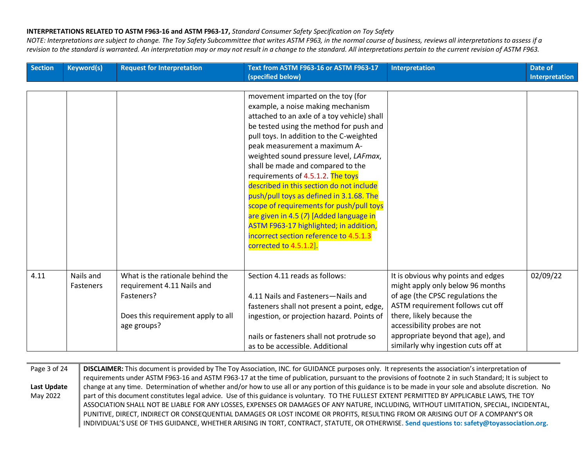*NOTE: Interpretations are subject to change. The Toy Safety Subcommittee that writes ASTM F963, in the normal course of business, reviews all interpretations to assess if a revision to the standard is warranted. An interpretation may or may not result in a change to the standard. All interpretations pertain to the current revision of ASTM F963.*

| <b>Section</b> | <b>Keyword(s)</b> | <b>Request for Interpretation</b>  | Text from ASTM F963-16 or ASTM F963-17<br>(specified below) | <b>Interpretation</b>               | Date of<br>Interpretation |
|----------------|-------------------|------------------------------------|-------------------------------------------------------------|-------------------------------------|---------------------------|
|                |                   |                                    |                                                             |                                     |                           |
|                |                   |                                    | movement imparted on the toy (for                           |                                     |                           |
|                |                   |                                    | example, a noise making mechanism                           |                                     |                           |
|                |                   |                                    | attached to an axle of a toy vehicle) shall                 |                                     |                           |
|                |                   |                                    | be tested using the method for push and                     |                                     |                           |
|                |                   |                                    | pull toys. In addition to the C-weighted                    |                                     |                           |
|                |                   |                                    | peak measurement a maximum A-                               |                                     |                           |
|                |                   |                                    | weighted sound pressure level, LAFmax,                      |                                     |                           |
|                |                   |                                    | shall be made and compared to the                           |                                     |                           |
|                |                   |                                    | requirements of 4.5.1.2. The toys                           |                                     |                           |
|                |                   |                                    | described in this section do not include                    |                                     |                           |
|                |                   |                                    | push/pull toys as defined in 3.1.68. The                    |                                     |                           |
|                |                   |                                    | scope of requirements for push/pull toys                    |                                     |                           |
|                |                   |                                    | are given in 4.5 (7) [Added language in                     |                                     |                           |
|                |                   |                                    | ASTM F963-17 highlighted; in addition,                      |                                     |                           |
|                |                   |                                    | incorrect section reference to 4.5.1.3                      |                                     |                           |
|                |                   |                                    | corrected to 4.5.1.2].                                      |                                     |                           |
|                |                   |                                    |                                                             |                                     |                           |
|                |                   |                                    |                                                             |                                     |                           |
| 4.11           | Nails and         | What is the rationale behind the   | Section 4.11 reads as follows:                              | It is obvious why points and edges  | 02/09/22                  |
|                | <b>Fasteners</b>  | requirement 4.11 Nails and         |                                                             | might apply only below 96 months    |                           |
|                |                   | Fasteners?                         | 4.11 Nails and Fasteners-Nails and                          | of age (the CPSC regulations the    |                           |
|                |                   |                                    | fasteners shall not present a point, edge,                  | ASTM requirement follows cut off    |                           |
|                |                   | Does this requirement apply to all | ingestion, or projection hazard. Points of                  | there, likely because the           |                           |
|                |                   | age groups?                        |                                                             | accessibility probes are not        |                           |
|                |                   |                                    | nails or fasteners shall not protrude so                    | appropriate beyond that age), and   |                           |
|                |                   |                                    | as to be accessible. Additional                             | similarly why ingestion cuts off at |                           |

Page 3 of 24 **Last Update**  May 2022 **DISCLAIMER:** This document is provided by The Toy Association, INC. for GUIDANCE purposes only. It represents the association's interpretation of requirements under ASTM F963-16 and ASTM F963-17 at the time of publication, pursuant to the provisions of footnote 2 in such Standard; It is subject to change at any time. Determination of whether and/or how to use all or any portion of this guidance is to be made in your sole and absolute discretion. No part of this document constitutes legal advice. Use of this guidance is voluntary. TO THE FULLEST EXTENT PERMITTED BY APPLICABLE LAWS, THE TOY ASSOCIATION SHALL NOT BE LIABLE FOR ANY LOSSES, EXPENSES OR DAMAGES OF ANY NATURE, INCLUDING, WITHOUT LIMITATION, SPECIAL, INCIDENTAL, PUNITIVE, DIRECT, INDIRECT OR CONSEQUENTIAL DAMAGES OR LOST INCOME OR PROFITS, RESULTING FROM OR ARISING OUT OF A COMPANY'S OR INDIVIDUAL'S USE OF THIS GUIDANCE, WHETHER ARISING IN TORT, CONTRACT, STATUTE, OR OTHERWISE. **Send questions to: safety@toyassociation.org.**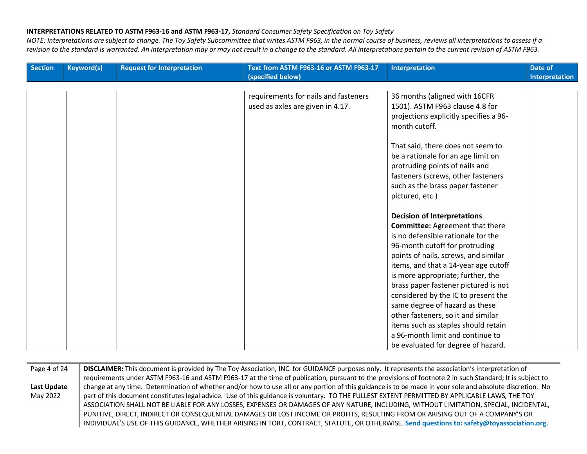| <b>Section</b> | <b>Keyword(s)</b> | <b>Request for Interpretation</b> | Text from ASTM F963-16 or ASTM F963-17 | <b>Interpretation</b>                                                        | Date of        |
|----------------|-------------------|-----------------------------------|----------------------------------------|------------------------------------------------------------------------------|----------------|
|                |                   |                                   | (specified below)                      |                                                                              | Interpretation |
|                |                   |                                   | requirements for nails and fasteners   | 36 months (aligned with 16CFR                                                |                |
|                |                   |                                   | used as axles are given in 4.17.       | 1501). ASTM F963 clause 4.8 for                                              |                |
|                |                   |                                   |                                        | projections explicitly specifies a 96-                                       |                |
|                |                   |                                   |                                        | month cutoff.                                                                |                |
|                |                   |                                   |                                        |                                                                              |                |
|                |                   |                                   |                                        | That said, there does not seem to                                            |                |
|                |                   |                                   |                                        | be a rationale for an age limit on                                           |                |
|                |                   |                                   |                                        | protruding points of nails and                                               |                |
|                |                   |                                   |                                        | fasteners (screws, other fasteners                                           |                |
|                |                   |                                   |                                        | such as the brass paper fastener                                             |                |
|                |                   |                                   |                                        | pictured, etc.)                                                              |                |
|                |                   |                                   |                                        |                                                                              |                |
|                |                   |                                   |                                        | <b>Decision of Interpretations</b><br><b>Committee:</b> Agreement that there |                |
|                |                   |                                   |                                        | is no defensible rationale for the                                           |                |
|                |                   |                                   |                                        | 96-month cutoff for protruding                                               |                |
|                |                   |                                   |                                        | points of nails, screws, and similar                                         |                |
|                |                   |                                   |                                        | items, and that a 14-year age cutoff                                         |                |
|                |                   |                                   |                                        | is more appropriate; further, the                                            |                |
|                |                   |                                   |                                        | brass paper fastener pictured is not                                         |                |
|                |                   |                                   |                                        | considered by the IC to present the                                          |                |
|                |                   |                                   |                                        | same degree of hazard as these                                               |                |
|                |                   |                                   |                                        | other fasteners, so it and similar                                           |                |
|                |                   |                                   |                                        | items such as staples should retain                                          |                |
|                |                   |                                   |                                        | a 96-month limit and continue to                                             |                |
|                |                   |                                   |                                        | be evaluated for degree of hazard.                                           |                |

| Page 4 of 24 | DISCLAIMER: This document is provided by The Toy Association, INC. for GUIDANCE purposes only. It represents the association's interpretation of          |
|--------------|-----------------------------------------------------------------------------------------------------------------------------------------------------------|
|              | requirements under ASTM F963-16 and ASTM F963-17 at the time of publication, pursuant to the provisions of footnote 2 in such Standard; It is subject to  |
| Last Update  | change at any time. Determination of whether and/or how to use all or any portion of this guidance is to be made in your sole and absolute discretion. No |
| May 2022     | part of this document constitutes legal advice. Use of this guidance is voluntary. TO THE FULLEST EXTENT PERMITTED BY APPLICABLE LAWS, THE TOY            |
|              | ASSOCIATION SHALL NOT BE LIABLE FOR ANY LOSSES, EXPENSES OR DAMAGES OF ANY NATURE, INCLUDING, WITHOUT LIMITATION, SPECIAL, INCIDENTAL,                    |
|              | PUNITIVE, DIRECT, INDIRECT OR CONSEQUENTIAL DAMAGES OR LOST INCOME OR PROFITS, RESULTING FROM OR ARISING OUT OF A COMPANY'S OR                            |
|              | INDIVIDUAL'S USE OF THIS GUIDANCE, WHETHER ARISING IN TORT, CONTRACT, STATUTE, OR OTHERWISE. Send questions to: safety@toyassociation.org.                |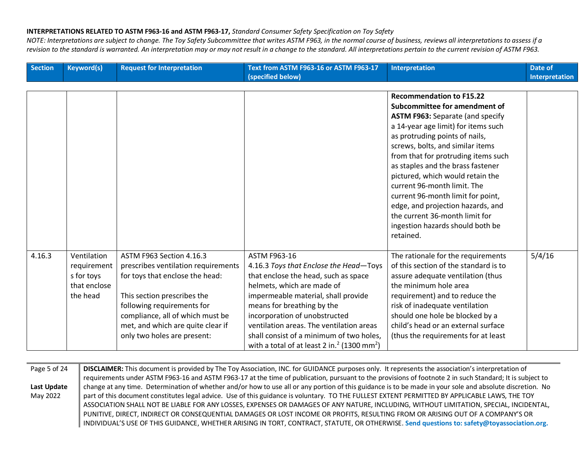*NOTE: Interpretations are subject to change. The Toy Safety Subcommittee that writes ASTM F963, in the normal course of business, reviews all interpretations to assess if a revision to the standard is warranted. An interpretation may or may not result in a change to the standard. All interpretations pertain to the current revision of ASTM F963.*

| <b>Section</b> | <b>Keyword(s)</b> | <b>Request for Interpretation</b>   | Text from ASTM F963-16 or ASTM F963-17<br>(specified below)         | Interpretation                                                  | Date of<br><b>Interpretation</b> |
|----------------|-------------------|-------------------------------------|---------------------------------------------------------------------|-----------------------------------------------------------------|----------------------------------|
|                |                   |                                     |                                                                     |                                                                 |                                  |
|                |                   |                                     |                                                                     | <b>Recommendation to F15.22</b>                                 |                                  |
|                |                   |                                     |                                                                     | Subcommittee for amendment of                                   |                                  |
|                |                   |                                     |                                                                     | <b>ASTM F963: Separate (and specify</b>                         |                                  |
|                |                   |                                     |                                                                     | a 14-year age limit) for items such                             |                                  |
|                |                   |                                     |                                                                     | as protruding points of nails,                                  |                                  |
|                |                   |                                     |                                                                     | screws, bolts, and similar items                                |                                  |
|                |                   |                                     |                                                                     | from that for protruding items such                             |                                  |
|                |                   |                                     |                                                                     | as staples and the brass fastener                               |                                  |
|                |                   |                                     |                                                                     | pictured, which would retain the<br>current 96-month limit. The |                                  |
|                |                   |                                     |                                                                     | current 96-month limit for point,                               |                                  |
|                |                   |                                     |                                                                     | edge, and projection hazards, and                               |                                  |
|                |                   |                                     |                                                                     | the current 36-month limit for                                  |                                  |
|                |                   |                                     |                                                                     | ingestion hazards should both be                                |                                  |
|                |                   |                                     |                                                                     | retained.                                                       |                                  |
|                |                   |                                     |                                                                     |                                                                 |                                  |
| 4.16.3         | Ventilation       | ASTM F963 Section 4.16.3            | ASTM F963-16                                                        | The rationale for the requirements                              | 5/4/16                           |
|                | requirement       | prescribes ventilation requirements | 4.16.3 Toys that Enclose the Head-Toys                              | of this section of the standard is to                           |                                  |
|                | s for toys        | for toys that enclose the head:     | that enclose the head, such as space                                | assure adequate ventilation (thus                               |                                  |
|                | that enclose      |                                     | helmets, which are made of                                          | the minimum hole area                                           |                                  |
|                | the head          | This section prescribes the         | impermeable material, shall provide                                 | requirement) and to reduce the                                  |                                  |
|                |                   | following requirements for          | means for breathing by the                                          | risk of inadequate ventilation                                  |                                  |
|                |                   | compliance, all of which must be    | incorporation of unobstructed                                       | should one hole be blocked by a                                 |                                  |
|                |                   | met, and which are quite clear if   | ventilation areas. The ventilation areas                            | child's head or an external surface                             |                                  |
|                |                   | only two holes are present:         | shall consist of a minimum of two holes,                            | (thus the requirements for at least                             |                                  |
|                |                   |                                     | with a total of at least 2 in. <sup>2</sup> (1300 mm <sup>2</sup> ) |                                                                 |                                  |

Page 5 of 24 **Last Update**  May 2022 **DISCLAIMER:** This document is provided by The Toy Association, INC. for GUIDANCE purposes only. It represents the association's interpretation of requirements under ASTM F963-16 and ASTM F963-17 at the time of publication, pursuant to the provisions of footnote 2 in such Standard; It is subject to change at any time. Determination of whether and/or how to use all or any portion of this guidance is to be made in your sole and absolute discretion. No part of this document constitutes legal advice. Use of this guidance is voluntary. TO THE FULLEST EXTENT PERMITTED BY APPLICABLE LAWS, THE TOY ASSOCIATION SHALL NOT BE LIABLE FOR ANY LOSSES, EXPENSES OR DAMAGES OF ANY NATURE, INCLUDING, WITHOUT LIMITATION, SPECIAL, INCIDENTAL, PUNITIVE, DIRECT, INDIRECT OR CONSEQUENTIAL DAMAGES OR LOST INCOME OR PROFITS, RESULTING FROM OR ARISING OUT OF A COMPANY'S OR INDIVIDUAL'S USE OF THIS GUIDANCE, WHETHER ARISING IN TORT, CONTRACT, STATUTE, OR OTHERWISE. **Send questions to: safety@toyassociation.org.**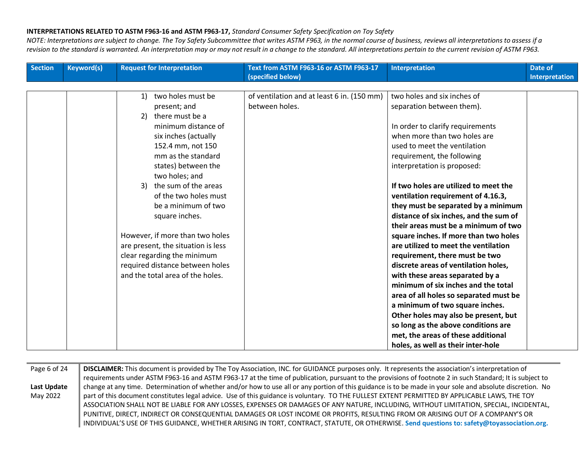| <b>Section</b> | <b>Keyword(s)</b> | <b>Request for Interpretation</b>  | Text from ASTM F963-16 or ASTM F963-17<br>(specified below) | <b>Interpretation</b>                  | Date of<br>Interpretation |
|----------------|-------------------|------------------------------------|-------------------------------------------------------------|----------------------------------------|---------------------------|
|                |                   |                                    |                                                             |                                        |                           |
|                |                   | two holes must be<br>1)            | of ventilation and at least 6 in. (150 mm)                  | two holes and six inches of            |                           |
|                |                   | present; and                       | between holes.                                              | separation between them).              |                           |
|                |                   | 2) there must be a                 |                                                             |                                        |                           |
|                |                   | minimum distance of                |                                                             | In order to clarify requirements       |                           |
|                |                   | six inches (actually               |                                                             | when more than two holes are           |                           |
|                |                   | 152.4 mm, not 150                  |                                                             | used to meet the ventilation           |                           |
|                |                   | mm as the standard                 |                                                             | requirement, the following             |                           |
|                |                   | states) between the                |                                                             | interpretation is proposed:            |                           |
|                |                   | two holes; and                     |                                                             |                                        |                           |
|                |                   | 3) the sum of the areas            |                                                             | If two holes are utilized to meet the  |                           |
|                |                   | of the two holes must              |                                                             | ventilation requirement of 4.16.3,     |                           |
|                |                   | be a minimum of two                |                                                             | they must be separated by a minimum    |                           |
|                |                   | square inches.                     |                                                             | distance of six inches, and the sum of |                           |
|                |                   |                                    |                                                             | their areas must be a minimum of two   |                           |
|                |                   | However, if more than two holes    |                                                             | square inches. If more than two holes  |                           |
|                |                   | are present, the situation is less |                                                             | are utilized to meet the ventilation   |                           |
|                |                   | clear regarding the minimum        |                                                             | requirement, there must be two         |                           |
|                |                   | required distance between holes    |                                                             | discrete areas of ventilation holes,   |                           |
|                |                   | and the total area of the holes.   |                                                             | with these areas separated by a        |                           |
|                |                   |                                    |                                                             | minimum of six inches and the total    |                           |
|                |                   |                                    |                                                             | area of all holes so separated must be |                           |
|                |                   |                                    |                                                             | a minimum of two square inches.        |                           |
|                |                   |                                    |                                                             | Other holes may also be present, but   |                           |
|                |                   |                                    |                                                             | so long as the above conditions are    |                           |
|                |                   |                                    |                                                             | met, the areas of these additional     |                           |
|                |                   |                                    |                                                             | holes, as well as their inter-hole     |                           |

| Page 6 of 24 | DISCLAIMER: This document is provided by The Toy Association, INC. for GUIDANCE purposes only. It represents the association's interpretation of          |
|--------------|-----------------------------------------------------------------------------------------------------------------------------------------------------------|
|              | requirements under ASTM F963-16 and ASTM F963-17 at the time of publication, pursuant to the provisions of footnote 2 in such Standard; It is subject to  |
| Last Update  | change at any time. Determination of whether and/or how to use all or any portion of this guidance is to be made in your sole and absolute discretion. No |
| May 2022     | part of this document constitutes legal advice. Use of this guidance is voluntary. TO THE FULLEST EXTENT PERMITTED BY APPLICABLE LAWS, THE TOY            |
|              | ASSOCIATION SHALL NOT BE LIABLE FOR ANY LOSSES, EXPENSES OR DAMAGES OF ANY NATURE, INCLUDING, WITHOUT LIMITATION, SPECIAL, INCIDENTAL,                    |
|              | PUNITIVE, DIRECT, INDIRECT OR CONSEQUENTIAL DAMAGES OR LOST INCOME OR PROFITS, RESULTING FROM OR ARISING OUT OF A COMPANY'S OR                            |
|              | INDIVIDUAL'S USE OF THIS GUIDANCE, WHETHER ARISING IN TORT, CONTRACT, STATUTE, OR OTHERWISE. Send questions to: safety@toyassociation.org.                |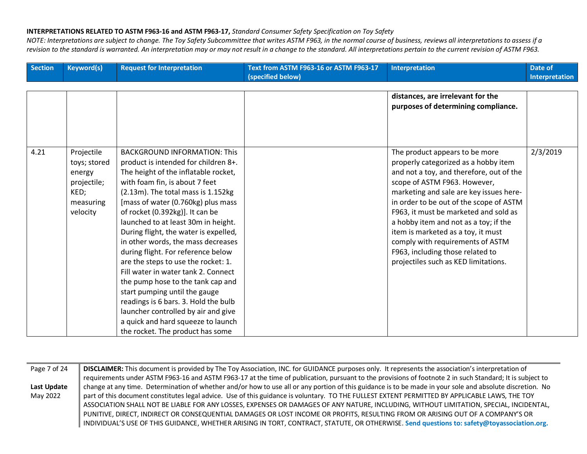| <b>Section</b> | <b>Keyword(s)</b> | <b>Request for Interpretation</b>     | Text from ASTM F963-16 or ASTM F963-17<br>(specified below) | Interpretation                           | Date of<br>Interpretation |
|----------------|-------------------|---------------------------------------|-------------------------------------------------------------|------------------------------------------|---------------------------|
|                |                   |                                       |                                                             |                                          |                           |
|                |                   |                                       |                                                             | distances, are irrelevant for the        |                           |
|                |                   |                                       |                                                             | purposes of determining compliance.      |                           |
|                |                   |                                       |                                                             |                                          |                           |
|                |                   |                                       |                                                             |                                          |                           |
|                |                   |                                       |                                                             |                                          |                           |
| 4.21           | Projectile        | <b>BACKGROUND INFORMATION: This</b>   |                                                             | The product appears to be more           | 2/3/2019                  |
|                | toys; stored      | product is intended for children 8+.  |                                                             | properly categorized as a hobby item     |                           |
|                | energy            | The height of the inflatable rocket,  |                                                             | and not a toy, and therefore, out of the |                           |
|                | projectile;       | with foam fin, is about 7 feet        |                                                             | scope of ASTM F963. However,             |                           |
|                | KED;              | (2.13m). The total mass is 1.152kg    |                                                             | marketing and sale are key issues here-  |                           |
|                | measuring         | [mass of water (0.760kg) plus mass    |                                                             | in order to be out of the scope of ASTM  |                           |
|                | velocity          | of rocket (0.392kg)]. It can be       |                                                             | F963, it must be marketed and sold as    |                           |
|                |                   | launched to at least 30m in height.   |                                                             | a hobby item and not as a toy; if the    |                           |
|                |                   | During flight, the water is expelled, |                                                             | item is marketed as a toy, it must       |                           |
|                |                   | in other words, the mass decreases    |                                                             | comply with requirements of ASTM         |                           |
|                |                   | during flight. For reference below    |                                                             | F963, including those related to         |                           |
|                |                   | are the steps to use the rocket: 1.   |                                                             | projectiles such as KED limitations.     |                           |
|                |                   | Fill water in water tank 2. Connect   |                                                             |                                          |                           |
|                |                   | the pump hose to the tank cap and     |                                                             |                                          |                           |
|                |                   | start pumping until the gauge         |                                                             |                                          |                           |
|                |                   | readings is 6 bars. 3. Hold the bulb  |                                                             |                                          |                           |
|                |                   | launcher controlled by air and give   |                                                             |                                          |                           |
|                |                   | a quick and hard squeeze to launch    |                                                             |                                          |                           |
|                |                   | the rocket. The product has some      |                                                             |                                          |                           |

| Page 7 of 24 | DISCLAIMER: This document is provided by The Toy Association, INC. for GUIDANCE purposes only. It represents the association's interpretation of          |
|--------------|-----------------------------------------------------------------------------------------------------------------------------------------------------------|
|              | requirements under ASTM F963-16 and ASTM F963-17 at the time of publication, pursuant to the provisions of footnote 2 in such Standard; It is subject to  |
| Last Update  | change at any time. Determination of whether and/or how to use all or any portion of this guidance is to be made in your sole and absolute discretion. No |
| May 2022     | part of this document constitutes legal advice. Use of this guidance is voluntary. TO THE FULLEST EXTENT PERMITTED BY APPLICABLE LAWS, THE TOY            |
|              | ASSOCIATION SHALL NOT BE LIABLE FOR ANY LOSSES, EXPENSES OR DAMAGES OF ANY NATURE, INCLUDING, WITHOUT LIMITATION, SPECIAL, INCIDENTAL,                    |
|              | PUNITIVE, DIRECT, INDIRECT OR CONSEQUENTIAL DAMAGES OR LOST INCOME OR PROFITS, RESULTING FROM OR ARISING OUT OF A COMPANY'S OR                            |
|              | INDIVIDUAL'S USE OF THIS GUIDANCE, WHETHER ARISING IN TORT, CONTRACT, STATUTE, OR OTHERWISE. Send questions to: safety@toyassociation.org.                |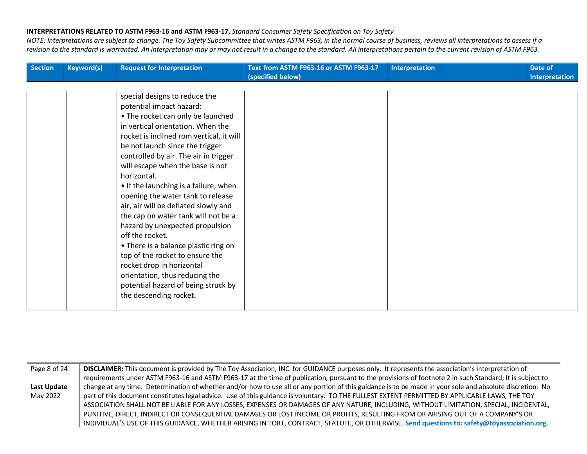| Section | <b>Keyword(s)</b> | <b>Request for Interpretation</b>        | Text from ASTM F963-16 or ASTM F963-17<br>(specified below) | Interpretation | Date of<br>Interpretation |
|---------|-------------------|------------------------------------------|-------------------------------------------------------------|----------------|---------------------------|
|         |                   |                                          |                                                             |                |                           |
|         |                   | special designs to reduce the            |                                                             |                |                           |
|         |                   | potential impact hazard:                 |                                                             |                |                           |
|         |                   | • The rocket can only be launched        |                                                             |                |                           |
|         |                   | in vertical orientation. When the        |                                                             |                |                           |
|         |                   | rocket is inclined rom vertical, it will |                                                             |                |                           |
|         |                   | be not launch since the trigger          |                                                             |                |                           |
|         |                   | controlled by air. The air in trigger    |                                                             |                |                           |
|         |                   | will escape when the base is not         |                                                             |                |                           |
|         |                   | horizontal.                              |                                                             |                |                           |
|         |                   | • If the launching is a failure, when    |                                                             |                |                           |
|         |                   | opening the water tank to release        |                                                             |                |                           |
|         |                   | air, air will be deflated slowly and     |                                                             |                |                           |
|         |                   | the cap on water tank will not be a      |                                                             |                |                           |
|         |                   | hazard by unexpected propulsion          |                                                             |                |                           |
|         |                   | off the rocket.                          |                                                             |                |                           |
|         |                   | • There is a balance plastic ring on     |                                                             |                |                           |
|         |                   | top of the rocket to ensure the          |                                                             |                |                           |
|         |                   | rocket drop in horizontal                |                                                             |                |                           |
|         |                   | orientation, thus reducing the           |                                                             |                |                           |
|         |                   | potential hazard of being struck by      |                                                             |                |                           |
|         |                   | the descending rocket.                   |                                                             |                |                           |
|         |                   |                                          |                                                             |                |                           |

| Page 8 of 24 | DISCLAIMER: This document is provided by The Toy Association, INC. for GUIDANCE purposes only. It represents the association's interpretation of          |
|--------------|-----------------------------------------------------------------------------------------------------------------------------------------------------------|
|              | requirements under ASTM F963-16 and ASTM F963-17 at the time of publication, pursuant to the provisions of footnote 2 in such Standard; It is subject to  |
| Last Update  | change at any time. Determination of whether and/or how to use all or any portion of this guidance is to be made in your sole and absolute discretion. No |
| May 2022     | part of this document constitutes legal advice. Use of this guidance is voluntary. TO THE FULLEST EXTENT PERMITTED BY APPLICABLE LAWS, THE TOY            |
|              | ASSOCIATION SHALL NOT BE LIABLE FOR ANY LOSSES, EXPENSES OR DAMAGES OF ANY NATURE, INCLUDING, WITHOUT LIMITATION, SPECIAL, INCIDENTAL,                    |
|              | PUNITIVE, DIRECT, INDIRECT OR CONSEQUENTIAL DAMAGES OR LOST INCOME OR PROFITS, RESULTING FROM OR ARISING OUT OF A COMPANY'S OR                            |
|              | INDIVIDUAL'S USE OF THIS GUIDANCE, WHETHER ARISING IN TORT, CONTRACT, STATUTE, OR OTHERWISE. Send questions to: safety@toyassociation.org.                |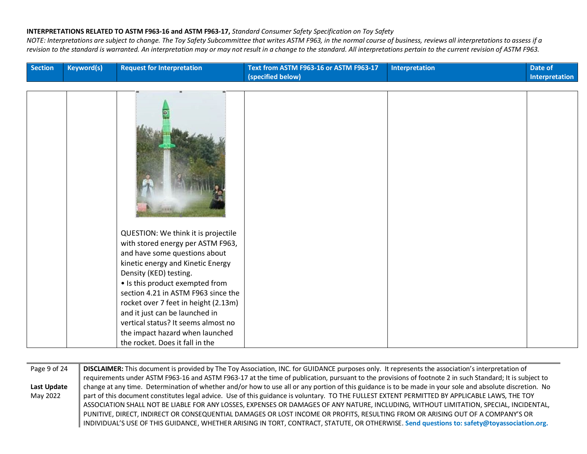| <b>Section</b> | <b>Keyword(s)</b> | <b>Request for Interpretation</b>                                                                                                                                                                                                                                                                                                                                                                                                         | Text from ASTM F963-16 or ASTM F963-17<br>(specified below) | <b>Interpretation</b> | Date of<br>Interpretation |
|----------------|-------------------|-------------------------------------------------------------------------------------------------------------------------------------------------------------------------------------------------------------------------------------------------------------------------------------------------------------------------------------------------------------------------------------------------------------------------------------------|-------------------------------------------------------------|-----------------------|---------------------------|
|                |                   |                                                                                                                                                                                                                                                                                                                                                                                                                                           |                                                             |                       |                           |
|                |                   |                                                                                                                                                                                                                                                                                                                                                                                                                                           |                                                             |                       |                           |
|                |                   | QUESTION: We think it is projectile<br>with stored energy per ASTM F963,<br>and have some questions about<br>kinetic energy and Kinetic Energy<br>Density (KED) testing.<br>• Is this product exempted from<br>section 4.21 in ASTM F963 since the<br>rocket over 7 feet in height (2.13m)<br>and it just can be launched in<br>vertical status? It seems almost no<br>the impact hazard when launched<br>the rocket. Does it fall in the |                                                             |                       |                           |

| Page 9 of 24 | DISCLAIMER: This document is provided by The Toy Association, INC. for GUIDANCE purposes only. It represents the association's interpretation of          |  |  |  |
|--------------|-----------------------------------------------------------------------------------------------------------------------------------------------------------|--|--|--|
|              | requirements under ASTM F963-16 and ASTM F963-17 at the time of publication, pursuant to the provisions of footnote 2 in such Standard; It is subject to  |  |  |  |
| Last Update  | change at any time. Determination of whether and/or how to use all or any portion of this guidance is to be made in your sole and absolute discretion. No |  |  |  |
| May 2022     | part of this document constitutes legal advice. Use of this guidance is voluntary. TO THE FULLEST EXTENT PERMITTED BY APPLICABLE LAWS, THE TOY            |  |  |  |
|              | ASSOCIATION SHALL NOT BE LIABLE FOR ANY LOSSES, EXPENSES OR DAMAGES OF ANY NATURE, INCLUDING, WITHOUT LIMITATION, SPECIAL, INCIDENTAL,                    |  |  |  |
|              | PUNITIVE, DIRECT, INDIRECT OR CONSEQUENTIAL DAMAGES OR LOST INCOME OR PROFITS, RESULTING FROM OR ARISING OUT OF A COMPANY'S OR                            |  |  |  |
|              | INDIVIDUAL'S USE OF THIS GUIDANCE, WHETHER ARISING IN TORT, CONTRACT, STATUTE, OR OTHERWISE. Send questions to: safety@toyassociation.org.                |  |  |  |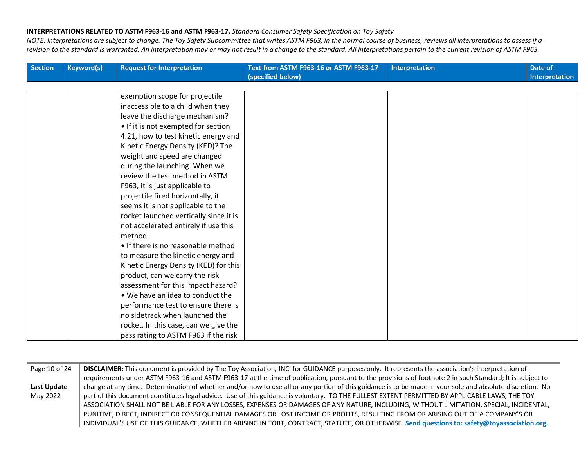| Section | <b>Keyword(s)</b> | <b>Request for Interpretation</b>      | Text from ASTM F963-16 or ASTM F963-17<br>(specified below) | Interpretation | Date of<br>Interpretation |
|---------|-------------------|----------------------------------------|-------------------------------------------------------------|----------------|---------------------------|
|         |                   |                                        |                                                             |                |                           |
|         |                   | exemption scope for projectile         |                                                             |                |                           |
|         |                   | inaccessible to a child when they      |                                                             |                |                           |
|         |                   | leave the discharge mechanism?         |                                                             |                |                           |
|         |                   | • If it is not exempted for section    |                                                             |                |                           |
|         |                   | 4.21, how to test kinetic energy and   |                                                             |                |                           |
|         |                   | Kinetic Energy Density (KED)? The      |                                                             |                |                           |
|         |                   | weight and speed are changed           |                                                             |                |                           |
|         |                   | during the launching. When we          |                                                             |                |                           |
|         |                   | review the test method in ASTM         |                                                             |                |                           |
|         |                   | F963, it is just applicable to         |                                                             |                |                           |
|         |                   | projectile fired horizontally, it      |                                                             |                |                           |
|         |                   | seems it is not applicable to the      |                                                             |                |                           |
|         |                   | rocket launched vertically since it is |                                                             |                |                           |
|         |                   | not accelerated entirely if use this   |                                                             |                |                           |
|         |                   | method.                                |                                                             |                |                           |
|         |                   | • If there is no reasonable method     |                                                             |                |                           |
|         |                   | to measure the kinetic energy and      |                                                             |                |                           |
|         |                   | Kinetic Energy Density (KED) for this  |                                                             |                |                           |
|         |                   | product, can we carry the risk         |                                                             |                |                           |
|         |                   | assessment for this impact hazard?     |                                                             |                |                           |
|         |                   | . We have an idea to conduct the       |                                                             |                |                           |
|         |                   | performance test to ensure there is    |                                                             |                |                           |
|         |                   | no sidetrack when launched the         |                                                             |                |                           |
|         |                   | rocket. In this case, can we give the  |                                                             |                |                           |
|         |                   | pass rating to ASTM F963 if the risk   |                                                             |                |                           |

| Page 10 of 24 | DISCLAIMER: This document is provided by The Toy Association, INC. for GUIDANCE purposes only. It represents the association's interpretation of          |
|---------------|-----------------------------------------------------------------------------------------------------------------------------------------------------------|
|               | requirements under ASTM F963-16 and ASTM F963-17 at the time of publication, pursuant to the provisions of footnote 2 in such Standard; It is subject to  |
| Last Update   | change at any time. Determination of whether and/or how to use all or any portion of this guidance is to be made in your sole and absolute discretion. No |
| May 2022      | part of this document constitutes legal advice. Use of this guidance is voluntary. TO THE FULLEST EXTENT PERMITTED BY APPLICABLE LAWS, THE TOY            |
|               | ASSOCIATION SHALL NOT BE LIABLE FOR ANY LOSSES, EXPENSES OR DAMAGES OF ANY NATURE, INCLUDING, WITHOUT LIMITATION, SPECIAL, INCIDENTAL,                    |
|               | PUNITIVE, DIRECT, INDIRECT OR CONSEQUENTIAL DAMAGES OR LOST INCOME OR PROFITS, RESULTING FROM OR ARISING OUT OF A COMPANY'S OR                            |
|               | INDIVIDUAL'S USE OF THIS GUIDANCE, WHETHER ARISING IN TORT, CONTRACT, STATUTE, OR OTHERWISE. Send questions to: safety@toyassociation.org.                |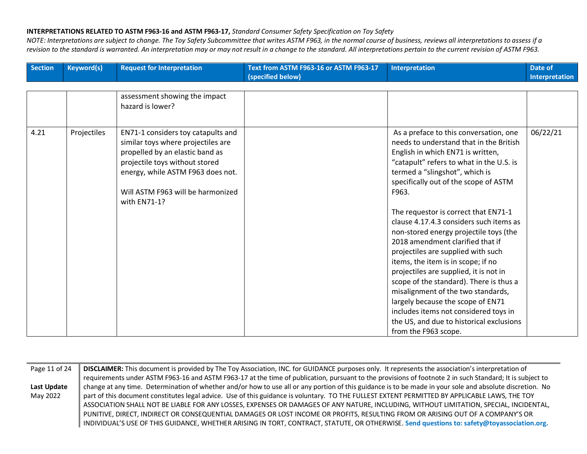| <b>Section</b> | <b>Keyword(s)</b> | <b>Request for Interpretation</b>                                                                                                                                                                                                       | Text from ASTM F963-16 or ASTM F963-17<br>(specified below) | <b>Interpretation</b>                                                                                                                                                                                                                                                                                                                                                                                                                                                                                                                                                                                                                                                                                                                                                            | Date of<br><b>Interpretation</b> |
|----------------|-------------------|-----------------------------------------------------------------------------------------------------------------------------------------------------------------------------------------------------------------------------------------|-------------------------------------------------------------|----------------------------------------------------------------------------------------------------------------------------------------------------------------------------------------------------------------------------------------------------------------------------------------------------------------------------------------------------------------------------------------------------------------------------------------------------------------------------------------------------------------------------------------------------------------------------------------------------------------------------------------------------------------------------------------------------------------------------------------------------------------------------------|----------------------------------|
|                |                   |                                                                                                                                                                                                                                         |                                                             |                                                                                                                                                                                                                                                                                                                                                                                                                                                                                                                                                                                                                                                                                                                                                                                  |                                  |
|                |                   | assessment showing the impact<br>hazard is lower?                                                                                                                                                                                       |                                                             |                                                                                                                                                                                                                                                                                                                                                                                                                                                                                                                                                                                                                                                                                                                                                                                  |                                  |
| 4.21           | Projectiles       | EN71-1 considers toy catapults and<br>similar toys where projectiles are<br>propelled by an elastic band as<br>projectile toys without stored<br>energy, while ASTM F963 does not.<br>Will ASTM F963 will be harmonized<br>with EN71-1? |                                                             | As a preface to this conversation, one<br>needs to understand that in the British<br>English in which EN71 is written,<br>"catapult" refers to what in the U.S. is<br>termed a "slingshot", which is<br>specifically out of the scope of ASTM<br>F963.<br>The requestor is correct that EN71-1<br>clause 4.17.4.3 considers such items as<br>non-stored energy projectile toys (the<br>2018 amendment clarified that if<br>projectiles are supplied with such<br>items, the item is in scope; if no<br>projectiles are supplied, it is not in<br>scope of the standard). There is thus a<br>misalignment of the two standards,<br>largely because the scope of EN71<br>includes items not considered toys in<br>the US, and due to historical exclusions<br>from the F963 scope. | 06/22/21                         |

| Page 11 of 24 | DISCLAIMER: This document is provided by The Toy Association, INC. for GUIDANCE purposes only. It represents the association's interpretation of          |  |  |  |  |
|---------------|-----------------------------------------------------------------------------------------------------------------------------------------------------------|--|--|--|--|
|               | requirements under ASTM F963-16 and ASTM F963-17 at the time of publication, pursuant to the provisions of footnote 2 in such Standard; It is subject to  |  |  |  |  |
| Last Update   | change at any time. Determination of whether and/or how to use all or any portion of this guidance is to be made in your sole and absolute discretion. No |  |  |  |  |
| May 2022      | part of this document constitutes legal advice. Use of this guidance is voluntary. TO THE FULLEST EXTENT PERMITTED BY APPLICABLE LAWS, THE TOY            |  |  |  |  |
|               | ASSOCIATION SHALL NOT BE LIABLE FOR ANY LOSSES, EXPENSES OR DAMAGES OF ANY NATURE, INCLUDING, WITHOUT LIMITATION, SPECIAL, INCIDENTAL,                    |  |  |  |  |
|               | PUNITIVE, DIRECT, INDIRECT OR CONSEQUENTIAL DAMAGES OR LOST INCOME OR PROFITS, RESULTING FROM OR ARISING OUT OF A COMPANY'S OR                            |  |  |  |  |
|               | INDIVIDUAL'S USE OF THIS GUIDANCE, WHETHER ARISING IN TORT, CONTRACT, STATUTE, OR OTHERWISE. Send questions to: safety@toyassociation.org.                |  |  |  |  |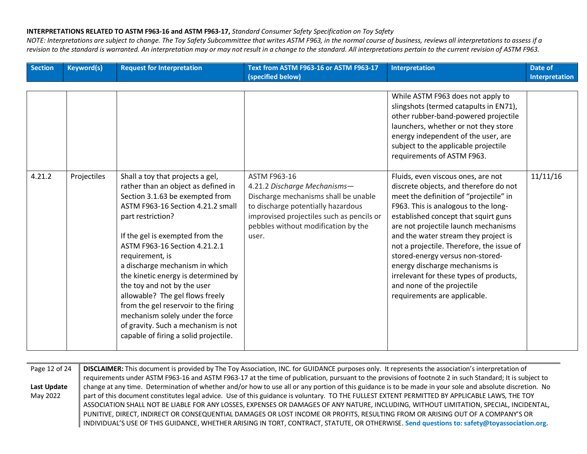| <b>Section</b> | <b>Keyword(s)</b> | <b>Request for Interpretation</b>                                                                                                                                                                                                                                                                                                                                                                                                                                                                                                                                  | Text from ASTM F963-16 or ASTM F963-17<br>(specified below)                                                                                                                                                             | <b>Interpretation</b>                                                                                                                                                                                                                                                                                                                                                                                                                                                                                              | Date of<br>Interpretation |
|----------------|-------------------|--------------------------------------------------------------------------------------------------------------------------------------------------------------------------------------------------------------------------------------------------------------------------------------------------------------------------------------------------------------------------------------------------------------------------------------------------------------------------------------------------------------------------------------------------------------------|-------------------------------------------------------------------------------------------------------------------------------------------------------------------------------------------------------------------------|--------------------------------------------------------------------------------------------------------------------------------------------------------------------------------------------------------------------------------------------------------------------------------------------------------------------------------------------------------------------------------------------------------------------------------------------------------------------------------------------------------------------|---------------------------|
|                |                   |                                                                                                                                                                                                                                                                                                                                                                                                                                                                                                                                                                    |                                                                                                                                                                                                                         | While ASTM F963 does not apply to<br>slingshots (termed catapults in EN71),<br>other rubber-band-powered projectile<br>launchers, whether or not they store<br>energy independent of the user, are<br>subject to the applicable projectile<br>requirements of ASTM F963.                                                                                                                                                                                                                                           |                           |
| 4.21.2         | Projectiles       | Shall a toy that projects a gel,<br>rather than an object as defined in<br>Section 3.1.63 be exempted from<br>ASTM F963-16 Section 4.21.2 small<br>part restriction?<br>If the gel is exempted from the<br>ASTM F963-16 Section 4.21.2.1<br>requirement, is<br>a discharge mechanism in which<br>the kinetic energy is determined by<br>the toy and not by the user<br>allowable? The gel flows freely<br>from the gel reservoir to the firing<br>mechanism solely under the force<br>of gravity. Such a mechanism is not<br>capable of firing a solid projectile. | ASTM F963-16<br>4.21.2 Discharge Mechanisms-<br>Discharge mechanisms shall be unable<br>to discharge potentially hazardous<br>improvised projectiles such as pencils or<br>pebbles without modification by the<br>user. | Fluids, even viscous ones, are not<br>discrete objects, and therefore do not<br>meet the definition of "projectile" in<br>F963. This is analogous to the long-<br>established concept that squirt guns<br>are not projectile launch mechanisms<br>and the water stream they project is<br>not a projectile. Therefore, the issue of<br>stored-energy versus non-stored-<br>energy discharge mechanisms is<br>irrelevant for these types of products,<br>and none of the projectile<br>requirements are applicable. | 11/11/16                  |

| Page 12 of 24 | DISCLAIMER: This document is provided by The Toy Association, INC. for GUIDANCE purposes only. It represents the association's interpretation of          |  |  |  |
|---------------|-----------------------------------------------------------------------------------------------------------------------------------------------------------|--|--|--|
|               | requirements under ASTM F963-16 and ASTM F963-17 at the time of publication, pursuant to the provisions of footnote 2 in such Standard; It is subject to  |  |  |  |
| Last Update   | change at any time. Determination of whether and/or how to use all or any portion of this guidance is to be made in your sole and absolute discretion. No |  |  |  |
| May 2022      | part of this document constitutes legal advice. Use of this guidance is voluntary. TO THE FULLEST EXTENT PERMITTED BY APPLICABLE LAWS, THE TOY            |  |  |  |
|               | ASSOCIATION SHALL NOT BE LIABLE FOR ANY LOSSES, EXPENSES OR DAMAGES OF ANY NATURE, INCLUDING, WITHOUT LIMITATION, SPECIAL, INCIDENTAL,                    |  |  |  |
|               | PUNITIVE, DIRECT, INDIRECT OR CONSEQUENTIAL DAMAGES OR LOST INCOME OR PROFITS, RESULTING FROM OR ARISING OUT OF A COMPANY'S OR                            |  |  |  |
|               | INDIVIDUAL'S USE OF THIS GUIDANCE, WHETHER ARISING IN TORT, CONTRACT, STATUTE, OR OTHERWISE. Send questions to: safety@toyassociation.org.                |  |  |  |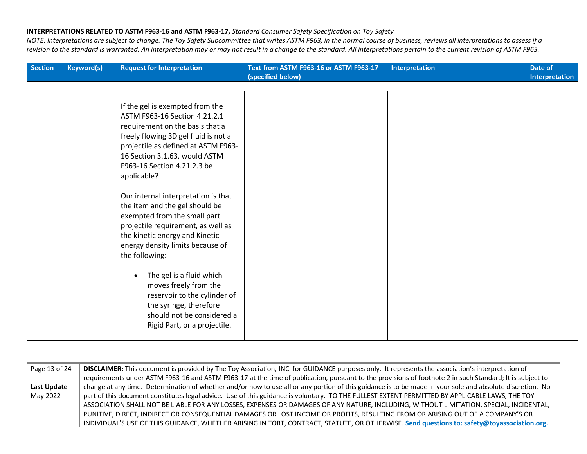| <b>Section</b> | <b>Keyword(s)</b> | <b>Request for Interpretation</b>                                                                                                                                                                                                                                 | Text from ASTM F963-16 or ASTM F963-17<br>(specified below) | Interpretation | Date of<br>Interpretation |
|----------------|-------------------|-------------------------------------------------------------------------------------------------------------------------------------------------------------------------------------------------------------------------------------------------------------------|-------------------------------------------------------------|----------------|---------------------------|
|                |                   |                                                                                                                                                                                                                                                                   |                                                             |                |                           |
|                |                   | If the gel is exempted from the<br>ASTM F963-16 Section 4.21.2.1<br>requirement on the basis that a<br>freely flowing 3D gel fluid is not a<br>projectile as defined at ASTM F963-<br>16 Section 3.1.63, would ASTM<br>F963-16 Section 4.21.2.3 be<br>applicable? |                                                             |                |                           |
|                |                   | Our internal interpretation is that<br>the item and the gel should be<br>exempted from the small part<br>projectile requirement, as well as<br>the kinetic energy and Kinetic<br>energy density limits because of<br>the following:                               |                                                             |                |                           |
|                |                   | The gel is a fluid which<br>$\bullet$<br>moves freely from the<br>reservoir to the cylinder of<br>the syringe, therefore<br>should not be considered a<br>Rigid Part, or a projectile.                                                                            |                                                             |                |                           |

| Page 13 of 24      | DISCLAIMER: This document is provided by The Toy Association, INC. for GUIDANCE purposes only. It represents the association's interpretation of          |  |  |  |
|--------------------|-----------------------------------------------------------------------------------------------------------------------------------------------------------|--|--|--|
|                    | requirements under ASTM F963-16 and ASTM F963-17 at the time of publication, pursuant to the provisions of footnote 2 in such Standard; It is subject to  |  |  |  |
| <b>Last Update</b> | change at any time. Determination of whether and/or how to use all or any portion of this guidance is to be made in your sole and absolute discretion. No |  |  |  |
| May 2022           | part of this document constitutes legal advice. Use of this guidance is voluntary. TO THE FULLEST EXTENT PERMITTED BY APPLICABLE LAWS, THE TOY            |  |  |  |
|                    | ASSOCIATION SHALL NOT BE LIABLE FOR ANY LOSSES, EXPENSES OR DAMAGES OF ANY NATURE, INCLUDING, WITHOUT LIMITATION, SPECIAL, INCIDENTAL,                    |  |  |  |
|                    | PUNITIVE, DIRECT, INDIRECT OR CONSEQUENTIAL DAMAGES OR LOST INCOME OR PROFITS, RESULTING FROM OR ARISING OUT OF A COMPANY'S OR                            |  |  |  |
|                    | INDIVIDUAL'S USE OF THIS GUIDANCE, WHETHER ARISING IN TORT, CONTRACT, STATUTE, OR OTHERWISE. Send questions to: safety@toyassociation.org.                |  |  |  |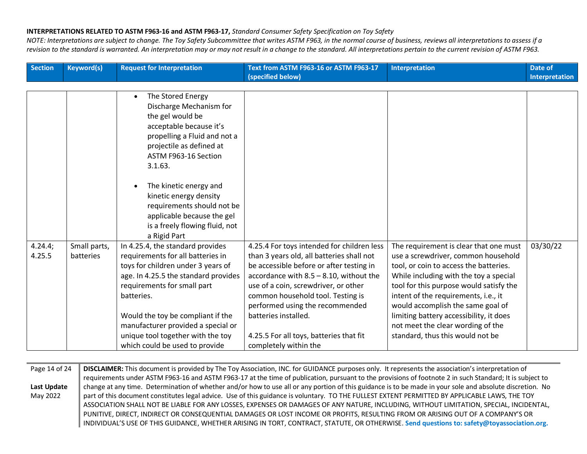*NOTE: Interpretations are subject to change. The Toy Safety Subcommittee that writes ASTM F963, in the normal course of business, reviews all interpretations to assess if a revision to the standard is warranted. An interpretation may or may not result in a change to the standard. All interpretations pertain to the current revision of ASTM F963.*

| <b>Section</b>    | <b>Keyword(s)</b>         | <b>Request for Interpretation</b>                                                                                                                                                                                                                                                                                                                  | Text from ASTM F963-16 or ASTM F963-17                                                                                                                                                                                                                                                                                                                                                        | <b>Interpretation</b>                                                                                                                                                                                                                                                                                                                                                                                         | Date of               |
|-------------------|---------------------------|----------------------------------------------------------------------------------------------------------------------------------------------------------------------------------------------------------------------------------------------------------------------------------------------------------------------------------------------------|-----------------------------------------------------------------------------------------------------------------------------------------------------------------------------------------------------------------------------------------------------------------------------------------------------------------------------------------------------------------------------------------------|---------------------------------------------------------------------------------------------------------------------------------------------------------------------------------------------------------------------------------------------------------------------------------------------------------------------------------------------------------------------------------------------------------------|-----------------------|
|                   |                           |                                                                                                                                                                                                                                                                                                                                                    | (specified below)                                                                                                                                                                                                                                                                                                                                                                             |                                                                                                                                                                                                                                                                                                                                                                                                               | <b>Interpretation</b> |
|                   |                           | The Stored Energy<br>$\bullet$<br>Discharge Mechanism for<br>the gel would be<br>acceptable because it's<br>propelling a Fluid and not a<br>projectile as defined at<br>ASTM F963-16 Section<br>3.1.63.<br>The kinetic energy and                                                                                                                  |                                                                                                                                                                                                                                                                                                                                                                                               |                                                                                                                                                                                                                                                                                                                                                                                                               |                       |
|                   |                           | kinetic energy density<br>requirements should not be<br>applicable because the gel<br>is a freely flowing fluid, not<br>a Rigid Part                                                                                                                                                                                                               |                                                                                                                                                                                                                                                                                                                                                                                               |                                                                                                                                                                                                                                                                                                                                                                                                               |                       |
| 4.24.4;<br>4.25.5 | Small parts,<br>batteries | In 4.25.4, the standard provides<br>requirements for all batteries in<br>toys for children under 3 years of<br>age. In 4.25.5 the standard provides<br>requirements for small part<br>batteries.<br>Would the toy be compliant if the<br>manufacturer provided a special or<br>unique tool together with the toy<br>which could be used to provide | 4.25.4 For toys intended for children less<br>than 3 years old, all batteries shall not<br>be accessible before or after testing in<br>accordance with $8.5 - 8.10$ , without the<br>use of a coin, screwdriver, or other<br>common household tool. Testing is<br>performed using the recommended<br>batteries installed.<br>4.25.5 For all toys, batteries that fit<br>completely within the | The requirement is clear that one must<br>use a screwdriver, common household<br>tool, or coin to access the batteries.<br>While including with the toy a special<br>tool for this purpose would satisfy the<br>intent of the requirements, i.e., it<br>would accomplish the same goal of<br>limiting battery accessibility, it does<br>not meet the clear wording of the<br>standard, thus this would not be | 03/30/22              |

Page 14 of 24 **Last Update**  May 2022 **DISCLAIMER:** This document is provided by The Toy Association, INC. for GUIDANCE purposes only. It represents the association's interpretation of requirements under ASTM F963-16 and ASTM F963-17 at the time of publication, pursuant to the provisions of footnote 2 in such Standard; It is subject to change at any time. Determination of whether and/or how to use all or any portion of this guidance is to be made in your sole and absolute discretion. No part of this document constitutes legal advice. Use of this guidance is voluntary. TO THE FULLEST EXTENT PERMITTED BY APPLICABLE LAWS, THE TOY ASSOCIATION SHALL NOT BE LIABLE FOR ANY LOSSES, EXPENSES OR DAMAGES OF ANY NATURE, INCLUDING, WITHOUT LIMITATION, SPECIAL, INCIDENTAL, PUNITIVE, DIRECT, INDIRECT OR CONSEQUENTIAL DAMAGES OR LOST INCOME OR PROFITS, RESULTING FROM OR ARISING OUT OF A COMPANY'S OR INDIVIDUAL'S USE OF THIS GUIDANCE, WHETHER ARISING IN TORT, CONTRACT, STATUTE, OR OTHERWISE. **Send questions to: safety@toyassociation.org.**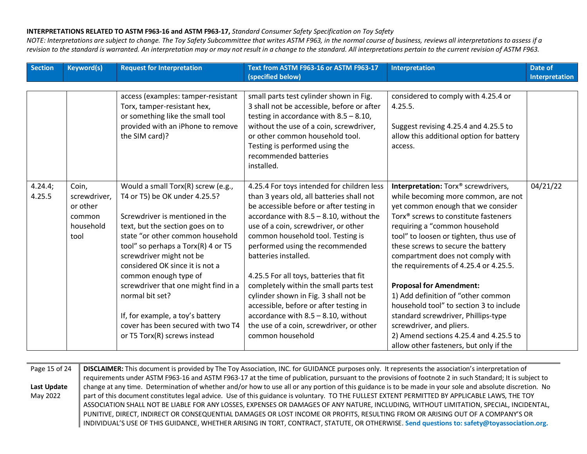| <b>Section</b>    | <b>Keyword(s)</b>                                                | <b>Request for Interpretation</b>                                                                                                                                                                                                                                                                                                                                                                                                                                                 | Text from ASTM F963-16 or ASTM F963-17<br>(specified below)                                                                                                                                                                                                                                                                                                                                                                                                                                                                                                                                              | <b>Interpretation</b>                                                                                                                                                                                                                                                                                                                                                                                                                                                                                                                                                                                                                                     | Date of<br>Interpretation |
|-------------------|------------------------------------------------------------------|-----------------------------------------------------------------------------------------------------------------------------------------------------------------------------------------------------------------------------------------------------------------------------------------------------------------------------------------------------------------------------------------------------------------------------------------------------------------------------------|----------------------------------------------------------------------------------------------------------------------------------------------------------------------------------------------------------------------------------------------------------------------------------------------------------------------------------------------------------------------------------------------------------------------------------------------------------------------------------------------------------------------------------------------------------------------------------------------------------|-----------------------------------------------------------------------------------------------------------------------------------------------------------------------------------------------------------------------------------------------------------------------------------------------------------------------------------------------------------------------------------------------------------------------------------------------------------------------------------------------------------------------------------------------------------------------------------------------------------------------------------------------------------|---------------------------|
|                   |                                                                  | access (examples: tamper-resistant<br>Torx, tamper-resistant hex,<br>or something like the small tool<br>provided with an iPhone to remove<br>the SIM card)?                                                                                                                                                                                                                                                                                                                      | small parts test cylinder shown in Fig.<br>3 shall not be accessible, before or after<br>testing in accordance with $8.5 - 8.10$ ,<br>without the use of a coin, screwdriver,<br>or other common household tool.<br>Testing is performed using the<br>recommended batteries<br>installed.                                                                                                                                                                                                                                                                                                                | considered to comply with 4.25.4 or<br>4.25.5.<br>Suggest revising 4.25.4 and 4.25.5 to<br>allow this additional option for battery<br>access.                                                                                                                                                                                                                                                                                                                                                                                                                                                                                                            |                           |
| 4.24.4;<br>4.25.5 | Coin,<br>screwdriver,<br>or other<br>common<br>household<br>tool | Would a small Torx(R) screw (e.g.,<br>T4 or T5) be OK under 4.25.5?<br>Screwdriver is mentioned in the<br>text, but the section goes on to<br>state "or other common household<br>tool" so perhaps a Torx(R) 4 or T5<br>screwdriver might not be<br>considered OK since it is not a<br>common enough type of<br>screwdriver that one might find in a<br>normal bit set?<br>If, for example, a toy's battery<br>cover has been secured with two T4<br>or T5 Torx(R) screws instead | 4.25.4 For toys intended for children less<br>than 3 years old, all batteries shall not<br>be accessible before or after testing in<br>accordance with $8.5 - 8.10$ , without the<br>use of a coin, screwdriver, or other<br>common household tool. Testing is<br>performed using the recommended<br>batteries installed.<br>4.25.5 For all toys, batteries that fit<br>completely within the small parts test<br>cylinder shown in Fig. 3 shall not be<br>accessible, before or after testing in<br>accordance with 8.5 - 8.10, without<br>the use of a coin, screwdriver, or other<br>common household | Interpretation: Torx <sup>®</sup> screwdrivers,<br>while becoming more common, are not<br>yet common enough that we consider<br>Torx <sup>®</sup> screws to constitute fasteners<br>requiring a "common household<br>tool" to loosen or tighten, thus use of<br>these screws to secure the battery<br>compartment does not comply with<br>the requirements of 4.25.4 or 4.25.5.<br><b>Proposal for Amendment:</b><br>1) Add definition of "other common<br>household tool" to section 3 to include<br>standard screwdriver, Phillips-type<br>screwdriver, and pliers.<br>2) Amend sections 4.25.4 and 4.25.5 to<br>allow other fasteners, but only if the | 04/21/22                  |

| Page 15 of 24 | DISCLAIMER: This document is provided by The Toy Association, INC. for GUIDANCE purposes only. It represents the association's interpretation of          |
|---------------|-----------------------------------------------------------------------------------------------------------------------------------------------------------|
|               | requirements under ASTM F963-16 and ASTM F963-17 at the time of publication, pursuant to the provisions of footnote 2 in such Standard; It is subject to  |
| Last Update   | change at any time. Determination of whether and/or how to use all or any portion of this guidance is to be made in your sole and absolute discretion. No |
| May 2022      | part of this document constitutes legal advice. Use of this guidance is voluntary. TO THE FULLEST EXTENT PERMITTED BY APPLICABLE LAWS, THE TOY            |
|               | ASSOCIATION SHALL NOT BE LIABLE FOR ANY LOSSES, EXPENSES OR DAMAGES OF ANY NATURE, INCLUDING, WITHOUT LIMITATION, SPECIAL, INCIDENTAL,                    |
|               | PUNITIVE, DIRECT, INDIRECT OR CONSEQUENTIAL DAMAGES OR LOST INCOME OR PROFITS, RESULTING FROM OR ARISING OUT OF A COMPANY'S OR                            |
|               | INDIVIDUAL'S USE OF THIS GUIDANCE, WHETHER ARISING IN TORT, CONTRACT, STATUTE, OR OTHERWISE. Send questions to: safety@toyassociation.org.                |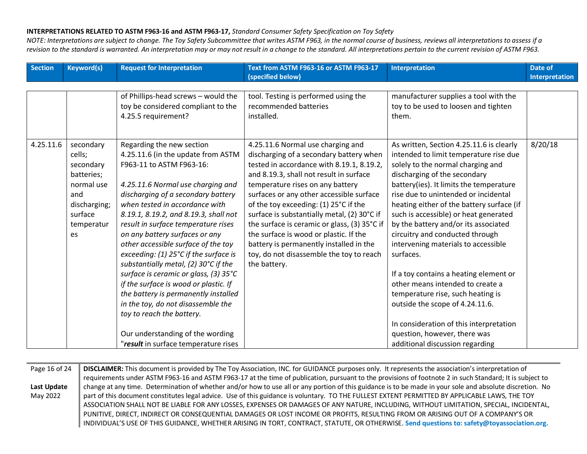| <b>Keyword(s)</b>                                                                                                  | <b>Request for Interpretation</b>                                                                                                                                                                                                                                                                                                                                                                                                                                                                                                                                                                                                                                                   | Text from ASTM F963-16 or ASTM F963-17<br>(specified below)                                                                                                                                                                                                                                                                                                                                                                                                                                                                                   | <b>Interpretation</b>                                                                                                                                                                                                                                                                                                                                                                                                                                                                                                                                                                                                                                                                            | <b>Date of</b><br><b>Interpretation</b> |
|--------------------------------------------------------------------------------------------------------------------|-------------------------------------------------------------------------------------------------------------------------------------------------------------------------------------------------------------------------------------------------------------------------------------------------------------------------------------------------------------------------------------------------------------------------------------------------------------------------------------------------------------------------------------------------------------------------------------------------------------------------------------------------------------------------------------|-----------------------------------------------------------------------------------------------------------------------------------------------------------------------------------------------------------------------------------------------------------------------------------------------------------------------------------------------------------------------------------------------------------------------------------------------------------------------------------------------------------------------------------------------|--------------------------------------------------------------------------------------------------------------------------------------------------------------------------------------------------------------------------------------------------------------------------------------------------------------------------------------------------------------------------------------------------------------------------------------------------------------------------------------------------------------------------------------------------------------------------------------------------------------------------------------------------------------------------------------------------|-----------------------------------------|
|                                                                                                                    | of Phillips-head screws - would the<br>toy be considered compliant to the<br>4.25.5 requirement?                                                                                                                                                                                                                                                                                                                                                                                                                                                                                                                                                                                    | tool. Testing is performed using the<br>recommended batteries<br>installed.                                                                                                                                                                                                                                                                                                                                                                                                                                                                   | manufacturer supplies a tool with the<br>toy to be used to loosen and tighten<br>them.                                                                                                                                                                                                                                                                                                                                                                                                                                                                                                                                                                                                           |                                         |
| secondary<br>cells;<br>secondary<br>batteries;<br>normal use<br>and<br>discharging;<br>surface<br>temperatur<br>es | Regarding the new section<br>4.25.11.6 (in the update from ASTM<br>F963-11 to ASTM F963-16:<br>4.25.11.6 Normal use charging and<br>discharging of a secondary battery<br>when tested in accordance with<br>8.19.1, 8.19.2, and 8.19.3, shall not<br>result in surface temperature rises<br>on any battery surfaces or any<br>other accessible surface of the toy<br>exceeding: (1) 25°C if the surface is<br>substantially metal, (2) 30°C if the<br>surface is ceramic or glass, (3) 35°C<br>if the surface is wood or plastic. If<br>the battery is permanently installed<br>in the toy, do not disassemble the<br>toy to reach the battery.<br>Our understanding of the wording | 4.25.11.6 Normal use charging and<br>discharging of a secondary battery when<br>tested in accordance with 8.19.1, 8.19.2,<br>and 8.19.3, shall not result in surface<br>temperature rises on any battery<br>surfaces or any other accessible surface<br>of the toy exceeding: (1) 25°C if the<br>surface is substantially metal, (2) 30°C if<br>the surface is ceramic or glass, (3) 35°C if<br>the surface is wood or plastic. If the<br>battery is permanently installed in the<br>toy, do not disassemble the toy to reach<br>the battery. | As written, Section 4.25.11.6 is clearly<br>intended to limit temperature rise due<br>solely to the normal charging and<br>discharging of the secondary<br>battery(ies). It limits the temperature<br>rise due to unintended or incidental<br>heating either of the battery surface (if<br>such is accessible) or heat generated<br>by the battery and/or its associated<br>circuitry and conducted through<br>intervening materials to accessible<br>surfaces.<br>If a toy contains a heating element or<br>other means intended to create a<br>temperature rise, such heating is<br>outside the scope of 4.24.11.6.<br>In consideration of this interpretation<br>question, however, there was | 8/20/18                                 |
|                                                                                                                    |                                                                                                                                                                                                                                                                                                                                                                                                                                                                                                                                                                                                                                                                                     | "result in surface temperature rises                                                                                                                                                                                                                                                                                                                                                                                                                                                                                                          |                                                                                                                                                                                                                                                                                                                                                                                                                                                                                                                                                                                                                                                                                                  | additional discussion regarding         |

| Page 16 of 24 | DISCLAIMER: This document is provided by The Toy Association, INC. for GUIDANCE purposes only. It represents the association's interpretation of          |
|---------------|-----------------------------------------------------------------------------------------------------------------------------------------------------------|
|               | requirements under ASTM F963-16 and ASTM F963-17 at the time of publication, pursuant to the provisions of footnote 2 in such Standard; It is subject to  |
| Last Update   | change at any time. Determination of whether and/or how to use all or any portion of this guidance is to be made in your sole and absolute discretion. No |
| May 2022      | part of this document constitutes legal advice. Use of this guidance is voluntary. TO THE FULLEST EXTENT PERMITTED BY APPLICABLE LAWS, THE TOY            |
|               | ASSOCIATION SHALL NOT BE LIABLE FOR ANY LOSSES, EXPENSES OR DAMAGES OF ANY NATURE, INCLUDING, WITHOUT LIMITATION, SPECIAL, INCIDENTAL,                    |
|               | PUNITIVE, DIRECT, INDIRECT OR CONSEQUENTIAL DAMAGES OR LOST INCOME OR PROFITS, RESULTING FROM OR ARISING OUT OF A COMPANY'S OR                            |
|               | INDIVIDUAL'S USE OF THIS GUIDANCE, WHETHER ARISING IN TORT, CONTRACT, STATUTE, OR OTHERWISE. Send questions to: safety@toyassociation.org.                |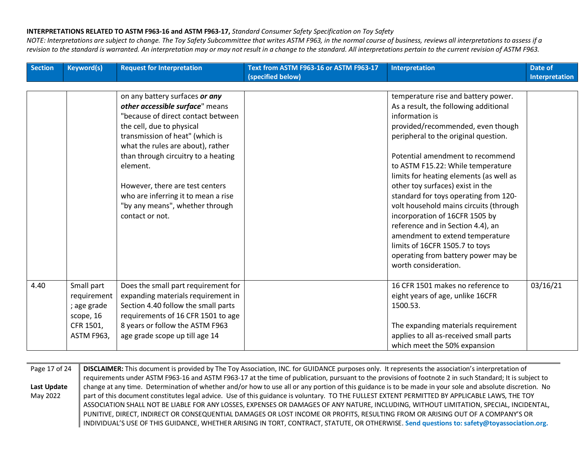| <b>Section</b> | <b>Keyword(s)</b> | <b>Request for Interpretation</b>   | Text from ASTM F963-16 or ASTM F963-17<br>(specified below) | <b>Interpretation</b>                   | Date of<br><b>Interpretation</b> |
|----------------|-------------------|-------------------------------------|-------------------------------------------------------------|-----------------------------------------|----------------------------------|
|                |                   |                                     |                                                             |                                         |                                  |
|                |                   | on any battery surfaces or any      |                                                             | temperature rise and battery power.     |                                  |
|                |                   | other accessible surface" means     |                                                             | As a result, the following additional   |                                  |
|                |                   | "because of direct contact between  |                                                             | information is                          |                                  |
|                |                   | the cell, due to physical           |                                                             | provided/recommended, even though       |                                  |
|                |                   | transmission of heat" (which is     |                                                             | peripheral to the original question.    |                                  |
|                |                   | what the rules are about), rather   |                                                             |                                         |                                  |
|                |                   | than through circuitry to a heating |                                                             | Potential amendment to recommend        |                                  |
|                |                   | element.                            |                                                             | to ASTM F15.22: While temperature       |                                  |
|                |                   |                                     |                                                             | limits for heating elements (as well as |                                  |
|                |                   | However, there are test centers     |                                                             | other toy surfaces) exist in the        |                                  |
|                |                   | who are inferring it to mean a rise |                                                             | standard for toys operating from 120-   |                                  |
|                |                   | "by any means", whether through     |                                                             | volt household mains circuits (through  |                                  |
|                |                   | contact or not.                     |                                                             | incorporation of 16CFR 1505 by          |                                  |
|                |                   |                                     |                                                             | reference and in Section 4.4), an       |                                  |
|                |                   |                                     |                                                             | amendment to extend temperature         |                                  |
|                |                   |                                     |                                                             | limits of 16CFR 1505.7 to toys          |                                  |
|                |                   |                                     |                                                             | operating from battery power may be     |                                  |
|                |                   |                                     |                                                             | worth consideration.                    |                                  |
|                |                   |                                     |                                                             |                                         |                                  |
| 4.40           | Small part        | Does the small part requirement for |                                                             | 16 CFR 1501 makes no reference to       | 03/16/21                         |
|                | requirement       | expanding materials requirement in  |                                                             | eight years of age, unlike 16CFR        |                                  |
|                | ; age grade       | Section 4.40 follow the small parts |                                                             | 1500.53.                                |                                  |
|                | scope, 16         | requirements of 16 CFR 1501 to age  |                                                             |                                         |                                  |
|                | CFR 1501,         | 8 years or follow the ASTM F963     |                                                             | The expanding materials requirement     |                                  |
|                | <b>ASTM F963,</b> | age grade scope up till age 14      |                                                             | applies to all as-received small parts  |                                  |
|                |                   |                                     |                                                             | which meet the 50% expansion            |                                  |

| Page 17 of 24 | DISCLAIMER: This document is provided by The Toy Association, INC. for GUIDANCE purposes only. It represents the association's interpretation of          |
|---------------|-----------------------------------------------------------------------------------------------------------------------------------------------------------|
|               | requirements under ASTM F963-16 and ASTM F963-17 at the time of publication, pursuant to the provisions of footnote 2 in such Standard; It is subject to  |
| Last Update   | change at any time. Determination of whether and/or how to use all or any portion of this guidance is to be made in your sole and absolute discretion. No |
| May 2022      | part of this document constitutes legal advice. Use of this guidance is voluntary. TO THE FULLEST EXTENT PERMITTED BY APPLICABLE LAWS, THE TOY            |
|               | ASSOCIATION SHALL NOT BE LIABLE FOR ANY LOSSES, EXPENSES OR DAMAGES OF ANY NATURE, INCLUDING, WITHOUT LIMITATION, SPECIAL, INCIDENTAL,                    |
|               | PUNITIVE, DIRECT, INDIRECT OR CONSEQUENTIAL DAMAGES OR LOST INCOME OR PROFITS, RESULTING FROM OR ARISING OUT OF A COMPANY'S OR                            |
|               | INDIVIDUAL'S USE OF THIS GUIDANCE, WHETHER ARISING IN TORT, CONTRACT, STATUTE, OR OTHERWISE. Send questions to: safety@toyassociation.org.                |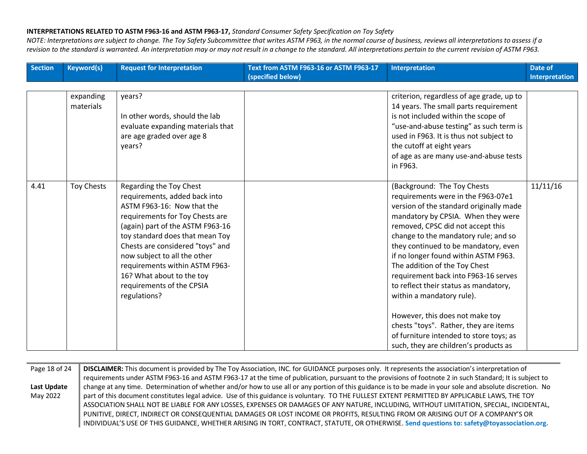| <b>Section</b> | <b>Keyword(s)</b>      | <b>Request for Interpretation</b>                                                                                                                                                                                                                                                                                                                                                | Text from ASTM F963-16 or ASTM F963-17<br>(specified below) | Interpretation                                                                                                                                                                                                                                                                                                                                                                                                                                                                                                                                                                                                                 | Date of<br><b>Interpretation</b> |
|----------------|------------------------|----------------------------------------------------------------------------------------------------------------------------------------------------------------------------------------------------------------------------------------------------------------------------------------------------------------------------------------------------------------------------------|-------------------------------------------------------------|--------------------------------------------------------------------------------------------------------------------------------------------------------------------------------------------------------------------------------------------------------------------------------------------------------------------------------------------------------------------------------------------------------------------------------------------------------------------------------------------------------------------------------------------------------------------------------------------------------------------------------|----------------------------------|
|                |                        |                                                                                                                                                                                                                                                                                                                                                                                  |                                                             |                                                                                                                                                                                                                                                                                                                                                                                                                                                                                                                                                                                                                                |                                  |
|                | expanding<br>materials | years?<br>In other words, should the lab<br>evaluate expanding materials that<br>are age graded over age 8<br>years?                                                                                                                                                                                                                                                             |                                                             | criterion, regardless of age grade, up to<br>14 years. The small parts requirement<br>is not included within the scope of<br>"use-and-abuse testing" as such term is<br>used in F963. It is thus not subject to<br>the cutoff at eight years<br>of age as are many use-and-abuse tests<br>in F963.                                                                                                                                                                                                                                                                                                                             |                                  |
| 4.41           | <b>Toy Chests</b>      | Regarding the Toy Chest<br>requirements, added back into<br>ASTM F963-16: Now that the<br>requirements for Toy Chests are<br>(again) part of the ASTM F963-16<br>toy standard does that mean Toy<br>Chests are considered "toys" and<br>now subject to all the other<br>requirements within ASTM F963-<br>16? What about to the toy<br>requirements of the CPSIA<br>regulations? |                                                             | (Background: The Toy Chests<br>requirements were in the F963-07e1<br>version of the standard originally made<br>mandatory by CPSIA. When they were<br>removed, CPSC did not accept this<br>change to the mandatory rule; and so<br>they continued to be mandatory, even<br>if no longer found within ASTM F963.<br>The addition of the Toy Chest<br>requirement back into F963-16 serves<br>to reflect their status as mandatory,<br>within a mandatory rule).<br>However, this does not make toy<br>chests "toys". Rather, they are items<br>of furniture intended to store toys; as<br>such, they are children's products as | 11/11/16                         |

| Page 18 of 24 | DISCLAIMER: This document is provided by The Toy Association, INC. for GUIDANCE purposes only. It represents the association's interpretation of          |
|---------------|-----------------------------------------------------------------------------------------------------------------------------------------------------------|
|               | requirements under ASTM F963-16 and ASTM F963-17 at the time of publication, pursuant to the provisions of footnote 2 in such Standard; It is subject to  |
| Last Update   | change at any time. Determination of whether and/or how to use all or any portion of this guidance is to be made in your sole and absolute discretion. No |
| May 2022      | part of this document constitutes legal advice. Use of this guidance is voluntary. TO THE FULLEST EXTENT PERMITTED BY APPLICABLE LAWS, THE TOY            |
|               | ASSOCIATION SHALL NOT BE LIABLE FOR ANY LOSSES, EXPENSES OR DAMAGES OF ANY NATURE, INCLUDING, WITHOUT LIMITATION, SPECIAL, INCIDENTAL,                    |
|               | PUNITIVE, DIRECT, INDIRECT OR CONSEQUENTIAL DAMAGES OR LOST INCOME OR PROFITS, RESULTING FROM OR ARISING OUT OF A COMPANY'S OR                            |
|               | INDIVIDUAL'S USE OF THIS GUIDANCE, WHETHER ARISING IN TORT, CONTRACT, STATUTE, OR OTHERWISE. Send questions to: safety@toyassociation.org.                |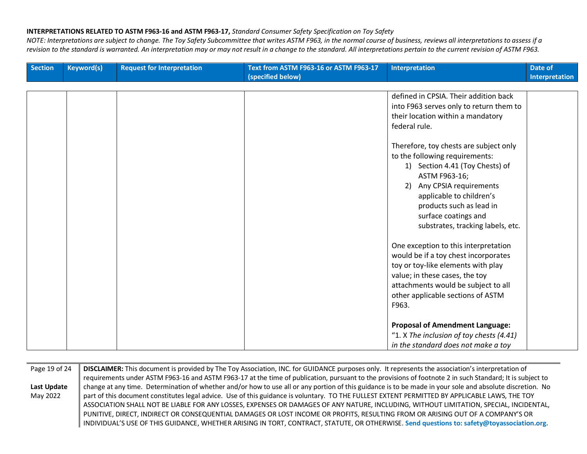| Section | <b>Keyword(s)</b> | <b>Request for Interpretation</b> | Text from ASTM F963-16 or ASTM F963-17 | <b>Interpretation</b>                    | Date of               |
|---------|-------------------|-----------------------------------|----------------------------------------|------------------------------------------|-----------------------|
|         |                   |                                   | (specified below)                      |                                          | <b>Interpretation</b> |
|         |                   |                                   |                                        |                                          |                       |
|         |                   |                                   |                                        | defined in CPSIA. Their addition back    |                       |
|         |                   |                                   |                                        | into F963 serves only to return them to  |                       |
|         |                   |                                   |                                        | their location within a mandatory        |                       |
|         |                   |                                   |                                        | federal rule.                            |                       |
|         |                   |                                   |                                        |                                          |                       |
|         |                   |                                   |                                        | Therefore, toy chests are subject only   |                       |
|         |                   |                                   |                                        | to the following requirements:           |                       |
|         |                   |                                   |                                        | 1) Section 4.41 (Toy Chests) of          |                       |
|         |                   |                                   |                                        | ASTM F963-16;                            |                       |
|         |                   |                                   |                                        | 2) Any CPSIA requirements                |                       |
|         |                   |                                   |                                        | applicable to children's                 |                       |
|         |                   |                                   |                                        | products such as lead in                 |                       |
|         |                   |                                   |                                        | surface coatings and                     |                       |
|         |                   |                                   |                                        | substrates, tracking labels, etc.        |                       |
|         |                   |                                   |                                        |                                          |                       |
|         |                   |                                   |                                        | One exception to this interpretation     |                       |
|         |                   |                                   |                                        | would be if a toy chest incorporates     |                       |
|         |                   |                                   |                                        | toy or toy-like elements with play       |                       |
|         |                   |                                   |                                        | value; in these cases, the toy           |                       |
|         |                   |                                   |                                        | attachments would be subject to all      |                       |
|         |                   |                                   |                                        | other applicable sections of ASTM        |                       |
|         |                   |                                   |                                        | F963.                                    |                       |
|         |                   |                                   |                                        |                                          |                       |
|         |                   |                                   |                                        | <b>Proposal of Amendment Language:</b>   |                       |
|         |                   |                                   |                                        | "1. X The inclusion of toy chests (4.41) |                       |
|         |                   |                                   |                                        | in the standard does not make a toy      |                       |

| Page 19 of 24 | DISCLAIMER: This document is provided by The Toy Association, INC. for GUIDANCE purposes only. It represents the association's interpretation of          |
|---------------|-----------------------------------------------------------------------------------------------------------------------------------------------------------|
|               | requirements under ASTM F963-16 and ASTM F963-17 at the time of publication, pursuant to the provisions of footnote 2 in such Standard; It is subject to  |
| Last Update   | change at any time. Determination of whether and/or how to use all or any portion of this guidance is to be made in your sole and absolute discretion. No |
| May 2022      | part of this document constitutes legal advice. Use of this guidance is voluntary. TO THE FULLEST EXTENT PERMITTED BY APPLICABLE LAWS, THE TOY            |
|               | ASSOCIATION SHALL NOT BE LIABLE FOR ANY LOSSES, EXPENSES OR DAMAGES OF ANY NATURE, INCLUDING, WITHOUT LIMITATION, SPECIAL, INCIDENTAL,                    |
|               | PUNITIVE, DIRECT, INDIRECT OR CONSEQUENTIAL DAMAGES OR LOST INCOME OR PROFITS, RESULTING FROM OR ARISING OUT OF A COMPANY'S OR                            |
|               | INDIVIDUAL'S USE OF THIS GUIDANCE, WHETHER ARISING IN TORT, CONTRACT, STATUTE, OR OTHERWISE. Send questions to: safety@toyassociation.org.                |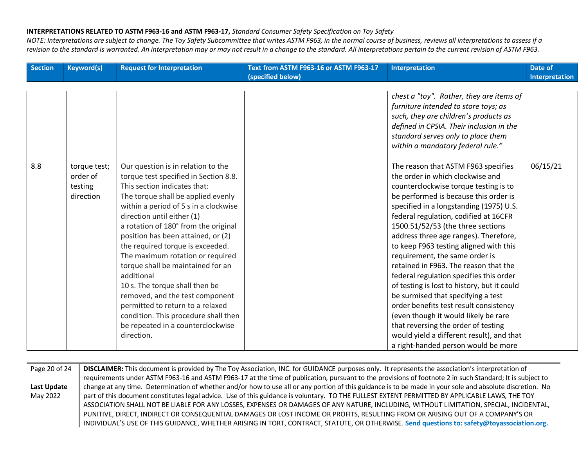*NOTE: Interpretations are subject to change. The Toy Safety Subcommittee that writes ASTM F963, in the normal course of business, reviews all interpretations to assess if a revision to the standard is warranted. An interpretation may or may not result in a change to the standard. All interpretations pertain to the current revision of ASTM F963.*

| <b>Section</b> | <b>Keyword(s)</b>                                | <b>Request for Interpretation</b>                                                                                                                                                                                                                                                                                                                                                                                                                                                                                                                                                                                                     | Text from ASTM F963-16 or ASTM F963-17 | <b>Interpretation</b>                                                                                                                                                                                                                                                                                                                                                                                                                                                                                                                                                                                                                                                                                                                                                                         | Date of               |
|----------------|--------------------------------------------------|---------------------------------------------------------------------------------------------------------------------------------------------------------------------------------------------------------------------------------------------------------------------------------------------------------------------------------------------------------------------------------------------------------------------------------------------------------------------------------------------------------------------------------------------------------------------------------------------------------------------------------------|----------------------------------------|-----------------------------------------------------------------------------------------------------------------------------------------------------------------------------------------------------------------------------------------------------------------------------------------------------------------------------------------------------------------------------------------------------------------------------------------------------------------------------------------------------------------------------------------------------------------------------------------------------------------------------------------------------------------------------------------------------------------------------------------------------------------------------------------------|-----------------------|
|                |                                                  |                                                                                                                                                                                                                                                                                                                                                                                                                                                                                                                                                                                                                                       | (specified below)                      |                                                                                                                                                                                                                                                                                                                                                                                                                                                                                                                                                                                                                                                                                                                                                                                               | <b>Interpretation</b> |
|                |                                                  |                                                                                                                                                                                                                                                                                                                                                                                                                                                                                                                                                                                                                                       |                                        | chest a "toy". Rather, they are items of<br>furniture intended to store toys; as<br>such, they are children's products as<br>defined in CPSIA. Their inclusion in the                                                                                                                                                                                                                                                                                                                                                                                                                                                                                                                                                                                                                         |                       |
|                |                                                  |                                                                                                                                                                                                                                                                                                                                                                                                                                                                                                                                                                                                                                       |                                        | standard serves only to place them<br>within a mandatory federal rule."                                                                                                                                                                                                                                                                                                                                                                                                                                                                                                                                                                                                                                                                                                                       |                       |
| 8.8            | torque test;<br>order of<br>testing<br>direction | Our question is in relation to the<br>torque test specified in Section 8.8.<br>This section indicates that:<br>The torque shall be applied evenly<br>within a period of 5 s in a clockwise<br>direction until either (1)<br>a rotation of 180° from the original<br>position has been attained, or (2)<br>the required torque is exceeded.<br>The maximum rotation or required<br>torque shall be maintained for an<br>additional<br>10 s. The torque shall then be<br>removed, and the test component<br>permitted to return to a relaxed<br>condition. This procedure shall then<br>be repeated in a counterclockwise<br>direction. |                                        | The reason that ASTM F963 specifies<br>the order in which clockwise and<br>counterclockwise torque testing is to<br>be performed is because this order is<br>specified in a longstanding (1975) U.S.<br>federal regulation, codified at 16CFR<br>1500.51/52/53 (the three sections<br>address three age ranges). Therefore,<br>to keep F963 testing aligned with this<br>requirement, the same order is<br>retained in F963. The reason that the<br>federal regulation specifies this order<br>of testing is lost to history, but it could<br>be surmised that specifying a test<br>order benefits test result consistency<br>(even though it would likely be rare<br>that reversing the order of testing<br>would yield a different result), and that<br>a right-handed person would be more | 06/15/21              |

Page 20 of 24 **Last Update**  May 2022 **DISCLAIMER:** This document is provided by The Toy Association, INC. for GUIDANCE purposes only. It represents the association's interpretation of requirements under ASTM F963-16 and ASTM F963-17 at the time of publication, pursuant to the provisions of footnote 2 in such Standard; It is subject to change at any time. Determination of whether and/or how to use all or any portion of this guidance is to be made in your sole and absolute discretion. No part of this document constitutes legal advice. Use of this guidance is voluntary. TO THE FULLEST EXTENT PERMITTED BY APPLICABLE LAWS, THE TOY ASSOCIATION SHALL NOT BE LIABLE FOR ANY LOSSES, EXPENSES OR DAMAGES OF ANY NATURE, INCLUDING, WITHOUT LIMITATION, SPECIAL, INCIDENTAL, PUNITIVE, DIRECT, INDIRECT OR CONSEQUENTIAL DAMAGES OR LOST INCOME OR PROFITS, RESULTING FROM OR ARISING OUT OF A COMPANY'S OR INDIVIDUAL'S USE OF THIS GUIDANCE, WHETHER ARISING IN TORT, CONTRACT, STATUTE, OR OTHERWISE. **Send questions to: safety@toyassociation.org.**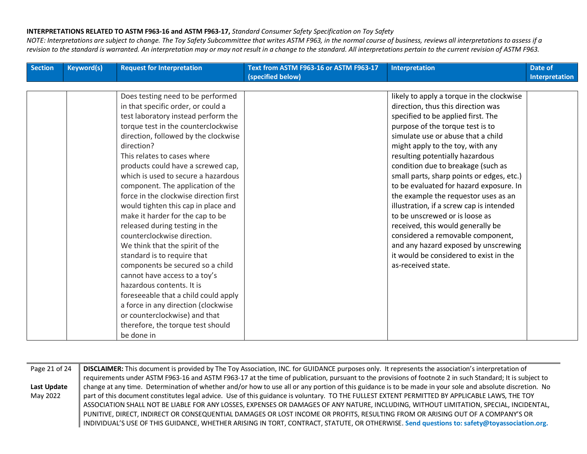| <b>Section</b> | <b>Keyword(s)</b> | <b>Request for Interpretation</b>      | Text from ASTM F963-16 or ASTM F963-17<br>(specified below) | <b>Interpretation</b>                     | Date of<br><b>Interpretation</b> |
|----------------|-------------------|----------------------------------------|-------------------------------------------------------------|-------------------------------------------|----------------------------------|
|                |                   |                                        |                                                             |                                           |                                  |
|                |                   | Does testing need to be performed      |                                                             | likely to apply a torque in the clockwise |                                  |
|                |                   | in that specific order, or could a     |                                                             | direction, thus this direction was        |                                  |
|                |                   | test laboratory instead perform the    |                                                             | specified to be applied first. The        |                                  |
|                |                   | torque test in the counterclockwise    |                                                             | purpose of the torque test is to          |                                  |
|                |                   | direction, followed by the clockwise   |                                                             | simulate use or abuse that a child        |                                  |
|                |                   | direction?                             |                                                             | might apply to the toy, with any          |                                  |
|                |                   | This relates to cases where            |                                                             | resulting potentially hazardous           |                                  |
|                |                   | products could have a screwed cap,     |                                                             | condition due to breakage (such as        |                                  |
|                |                   | which is used to secure a hazardous    |                                                             | small parts, sharp points or edges, etc.) |                                  |
|                |                   | component. The application of the      |                                                             | to be evaluated for hazard exposure. In   |                                  |
|                |                   | force in the clockwise direction first |                                                             | the example the requestor uses as an      |                                  |
|                |                   | would tighten this cap in place and    |                                                             | illustration, if a screw cap is intended  |                                  |
|                |                   | make it harder for the cap to be       |                                                             | to be unscrewed or is loose as            |                                  |
|                |                   | released during testing in the         |                                                             | received, this would generally be         |                                  |
|                |                   | counterclockwise direction.            |                                                             | considered a removable component,         |                                  |
|                |                   | We think that the spirit of the        |                                                             | and any hazard exposed by unscrewing      |                                  |
|                |                   | standard is to require that            |                                                             | it would be considered to exist in the    |                                  |
|                |                   | components be secured so a child       |                                                             | as-received state.                        |                                  |
|                |                   | cannot have access to a toy's          |                                                             |                                           |                                  |
|                |                   | hazardous contents. It is              |                                                             |                                           |                                  |
|                |                   | foreseeable that a child could apply   |                                                             |                                           |                                  |
|                |                   | a force in any direction (clockwise    |                                                             |                                           |                                  |
|                |                   | or counterclockwise) and that          |                                                             |                                           |                                  |
|                |                   | therefore, the torque test should      |                                                             |                                           |                                  |
|                |                   | be done in                             |                                                             |                                           |                                  |

| DISCLAIMER: This document is provided by The Toy Association, INC. for GUIDANCE purposes only. It represents the association's interpretation of          |
|-----------------------------------------------------------------------------------------------------------------------------------------------------------|
| requirements under ASTM F963-16 and ASTM F963-17 at the time of publication, pursuant to the provisions of footnote 2 in such Standard; It is subject to  |
| change at any time. Determination of whether and/or how to use all or any portion of this guidance is to be made in your sole and absolute discretion. No |
| part of this document constitutes legal advice. Use of this guidance is voluntary. TO THE FULLEST EXTENT PERMITTED BY APPLICABLE LAWS, THE TOY            |
| ASSOCIATION SHALL NOT BE LIABLE FOR ANY LOSSES, EXPENSES OR DAMAGES OF ANY NATURE, INCLUDING, WITHOUT LIMITATION, SPECIAL, INCIDENTAL,                    |
| PUNITIVE, DIRECT, INDIRECT OR CONSEQUENTIAL DAMAGES OR LOST INCOME OR PROFITS, RESULTING FROM OR ARISING OUT OF A COMPANY'S OR                            |
| INDIVIDUAL'S USE OF THIS GUIDANCE, WHETHER ARISING IN TORT, CONTRACT, STATUTE, OR OTHERWISE. Send questions to: safety@toyassociation.org.                |
|                                                                                                                                                           |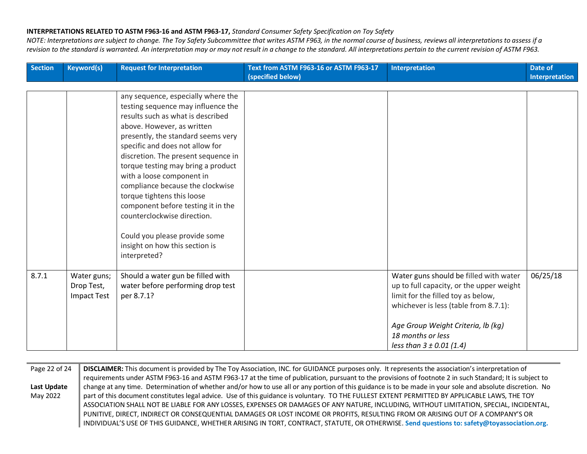| Section | <b>Keyword(s)</b>                               | <b>Request for Interpretation</b>                                                                                                                                                                                                                                                                                                                                                                                                                                                                                                                        | Text from ASTM F963-16 or ASTM F963-17<br>(specified below) | Interpretation                                                                                                                                                                                                                                               | Date of<br><b>Interpretation</b> |
|---------|-------------------------------------------------|----------------------------------------------------------------------------------------------------------------------------------------------------------------------------------------------------------------------------------------------------------------------------------------------------------------------------------------------------------------------------------------------------------------------------------------------------------------------------------------------------------------------------------------------------------|-------------------------------------------------------------|--------------------------------------------------------------------------------------------------------------------------------------------------------------------------------------------------------------------------------------------------------------|----------------------------------|
|         |                                                 |                                                                                                                                                                                                                                                                                                                                                                                                                                                                                                                                                          |                                                             |                                                                                                                                                                                                                                                              |                                  |
|         |                                                 | any sequence, especially where the<br>testing sequence may influence the<br>results such as what is described<br>above. However, as written<br>presently, the standard seems very<br>specific and does not allow for<br>discretion. The present sequence in<br>torque testing may bring a product<br>with a loose component in<br>compliance because the clockwise<br>torque tightens this loose<br>component before testing it in the<br>counterclockwise direction.<br>Could you please provide some<br>insight on how this section is<br>interpreted? |                                                             |                                                                                                                                                                                                                                                              |                                  |
| 8.7.1   | Water guns;<br>Drop Test,<br><b>Impact Test</b> | Should a water gun be filled with<br>water before performing drop test<br>per 8.7.1?                                                                                                                                                                                                                                                                                                                                                                                                                                                                     |                                                             | Water guns should be filled with water<br>up to full capacity, or the upper weight<br>limit for the filled toy as below,<br>whichever is less (table from 8.7.1):<br>Age Group Weight Criteria, lb (kg)<br>18 months or less<br>less than $3 \pm 0.01$ (1.4) | 06/25/18                         |

| Page 22 of 24 | DISCLAIMER: This document is provided by The Toy Association, INC. for GUIDANCE purposes only. It represents the association's interpretation of          |
|---------------|-----------------------------------------------------------------------------------------------------------------------------------------------------------|
|               | requirements under ASTM F963-16 and ASTM F963-17 at the time of publication, pursuant to the provisions of footnote 2 in such Standard; It is subject to  |
| Last Update   | change at any time. Determination of whether and/or how to use all or any portion of this guidance is to be made in your sole and absolute discretion. No |
| May 2022      | part of this document constitutes legal advice. Use of this guidance is voluntary. TO THE FULLEST EXTENT PERMITTED BY APPLICABLE LAWS, THE TOY            |
|               | ASSOCIATION SHALL NOT BE LIABLE FOR ANY LOSSES, EXPENSES OR DAMAGES OF ANY NATURE, INCLUDING, WITHOUT LIMITATION, SPECIAL, INCIDENTAL,                    |
|               | PUNITIVE, DIRECT, INDIRECT OR CONSEQUENTIAL DAMAGES OR LOST INCOME OR PROFITS, RESULTING FROM OR ARISING OUT OF A COMPANY'S OR                            |
|               | INDIVIDUAL'S USE OF THIS GUIDANCE, WHETHER ARISING IN TORT, CONTRACT, STATUTE, OR OTHERWISE. Send questions to: safety@toyassociation.org.                |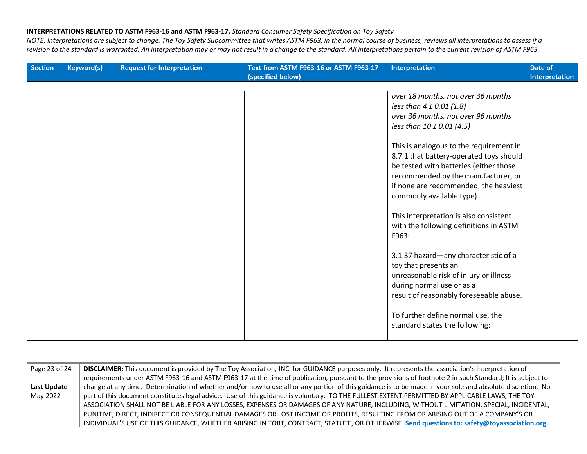| <b>Section</b> | <b>Keyword(s)</b> | <b>Request for Interpretation</b> | Text from ASTM F963-16 or ASTM F963-17<br>(specified below) | <b>Interpretation</b>                                                                                                                                                                                                                                                                                                                                     | Date of<br>Interpretation |
|----------------|-------------------|-----------------------------------|-------------------------------------------------------------|-----------------------------------------------------------------------------------------------------------------------------------------------------------------------------------------------------------------------------------------------------------------------------------------------------------------------------------------------------------|---------------------------|
|                |                   |                                   |                                                             |                                                                                                                                                                                                                                                                                                                                                           |                           |
|                |                   |                                   |                                                             | over 18 months, not over 36 months<br>less than $4 \pm 0.01$ (1.8)<br>over 36 months, not over 96 months<br>less than $10 \pm 0.01$ (4.5)<br>This is analogous to the requirement in<br>8.7.1 that battery-operated toys should<br>be tested with batteries (either those<br>recommended by the manufacturer, or<br>if none are recommended, the heaviest |                           |
|                |                   |                                   |                                                             | commonly available type).<br>This interpretation is also consistent<br>with the following definitions in ASTM<br>F963:<br>3.1.37 hazard-any characteristic of a                                                                                                                                                                                           |                           |
|                |                   |                                   |                                                             | toy that presents an<br>unreasonable risk of injury or illness<br>during normal use or as a<br>result of reasonably foreseeable abuse.<br>To further define normal use, the<br>standard states the following:                                                                                                                                             |                           |

| Page 23 of 24 | DISCLAIMER: This document is provided by The Toy Association, INC. for GUIDANCE purposes only. It represents the association's interpretation of          |
|---------------|-----------------------------------------------------------------------------------------------------------------------------------------------------------|
|               | requirements under ASTM F963-16 and ASTM F963-17 at the time of publication, pursuant to the provisions of footnote 2 in such Standard; It is subject to  |
| Last Update   | change at any time. Determination of whether and/or how to use all or any portion of this guidance is to be made in your sole and absolute discretion. No |
| May 2022      | part of this document constitutes legal advice. Use of this guidance is voluntary. TO THE FULLEST EXTENT PERMITTED BY APPLICABLE LAWS, THE TOY            |
|               | ASSOCIATION SHALL NOT BE LIABLE FOR ANY LOSSES, EXPENSES OR DAMAGES OF ANY NATURE, INCLUDING, WITHOUT LIMITATION, SPECIAL, INCIDENTAL,                    |
|               | PUNITIVE, DIRECT, INDIRECT OR CONSEQUENTIAL DAMAGES OR LOST INCOME OR PROFITS, RESULTING FROM OR ARISING OUT OF A COMPANY'S OR                            |
|               | INDIVIDUAL'S USE OF THIS GUIDANCE, WHETHER ARISING IN TORT, CONTRACT, STATUTE, OR OTHERWISE. Send questions to: safety@toyassociation.org.                |